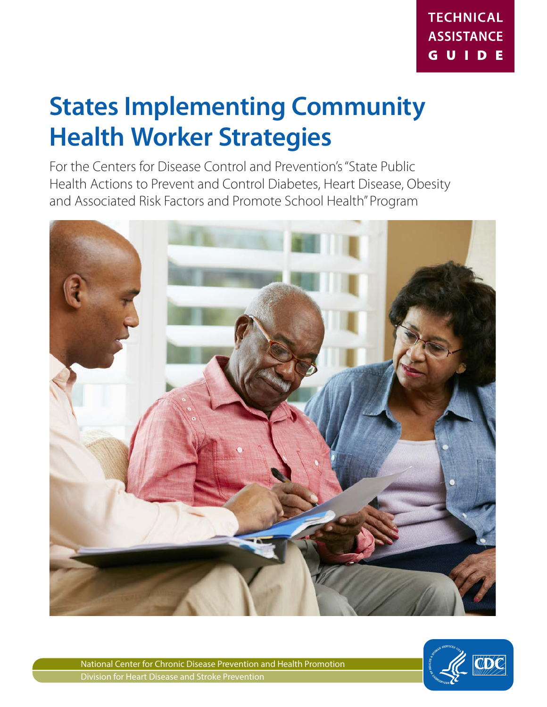# **States Implementing Community Health Worker Strategies**

For the Centers for Disease Control and Prevention's "State Public Health Actions to Prevent and Control Diabetes, Heart Disease, Obesity and Associated Risk Factors and Promote School Health" Program



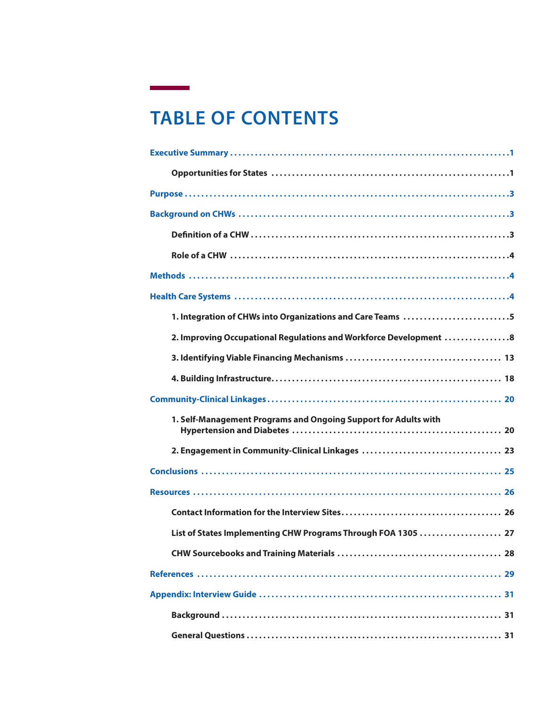# **TABLE OF CONTENTS**

 $\sim$ 

| 1. Integration of CHWs into Organizations and Care Teams 5        |
|-------------------------------------------------------------------|
| 2. Improving Occupational Regulations and Workforce Development 8 |
|                                                                   |
|                                                                   |
|                                                                   |
| 1. Self-Management Programs and Ongoing Support for Adults with   |
|                                                                   |
|                                                                   |
|                                                                   |
|                                                                   |
| List of States Implementing CHW Programs Through FOA 1305  27     |
|                                                                   |
|                                                                   |
|                                                                   |
|                                                                   |
|                                                                   |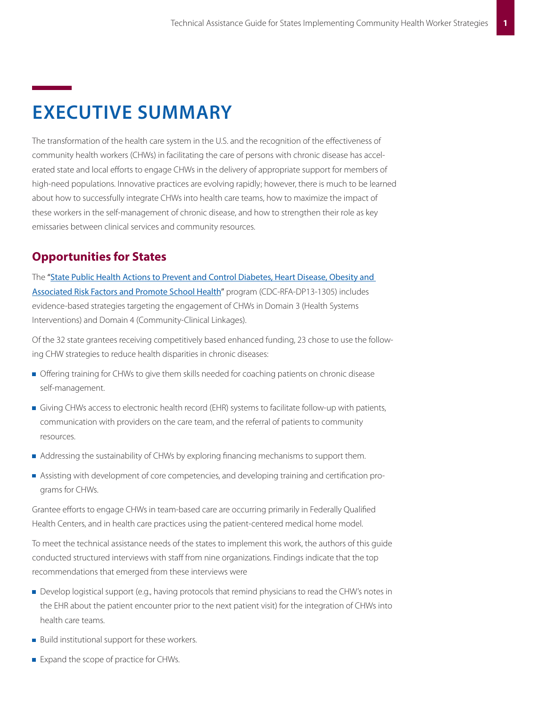# **EXECUTIVE SUMMARY**

The transformation of the health care system in the U.S. and the recognition of the effectiveness of community health workers (CHWs) in facilitating the care of persons with chronic disease has accelerated state and local efforts to engage CHWs in the delivery of appropriate support for members of high-need populations. Innovative practices are evolving rapidly; however, there is much to be learned about how to successfully integrate CHWs into health care teams, how to maximize the impact of these workers in the self-management of chronic disease, and how to strengthen their role as key emissaries between clinical services and community resources.

## **Opportunities for States**

The "[State Public Health Actions to Prevent and Control Diabetes, Heart Disease, Obesity and](http://www.cdc.gov/chronicdisease/about/statepubhealthactions-prevcd.htm)  [Associated Risk Factors and Promote School Health](http://www.cdc.gov/chronicdisease/about/statepubhealthactions-prevcd.htm)" program (CDC-RFA-DP13-1305) includes evidence-based strategies targeting the engagement of CHWs in Domain 3 (Health Systems Interventions) and Domain 4 (Community-Clinical Linkages).

Of the 32 state grantees receiving competitively based enhanced funding, 23 chose to use the following CHW strategies to reduce health disparities in chronic diseases:

- **Offering training for CHWs to give them skills needed for coaching patients on chronic disease** self-management.
- Giving CHWs access to electronic health record (EHR) systems to facilitate follow-up with patients, communication with providers on the care team, and the referral of patients to community resources.
- Addressing the sustainability of CHWs by exploring financing mechanisms to support them.
- Assisting with development of core competencies, and developing training and certification programs for CHWs.

Grantee efforts to engage CHWs in team-based care are occurring primarily in Federally Qualified Health Centers, and in health care practices using the patient-centered medical home model.

To meet the technical assistance needs of the states to implement this work, the authors of this guide conducted structured interviews with staff from nine organizations. Findings indicate that the top recommendations that emerged from these interviews were

- Develop logistical support (e.g., having protocols that remind physicians to read the CHW's notes in the EHR about the patient encounter prior to the next patient visit) for the integration of CHWs into health care teams.
- **Build institutional support for these workers.**
- Expand the scope of practice for CHWs.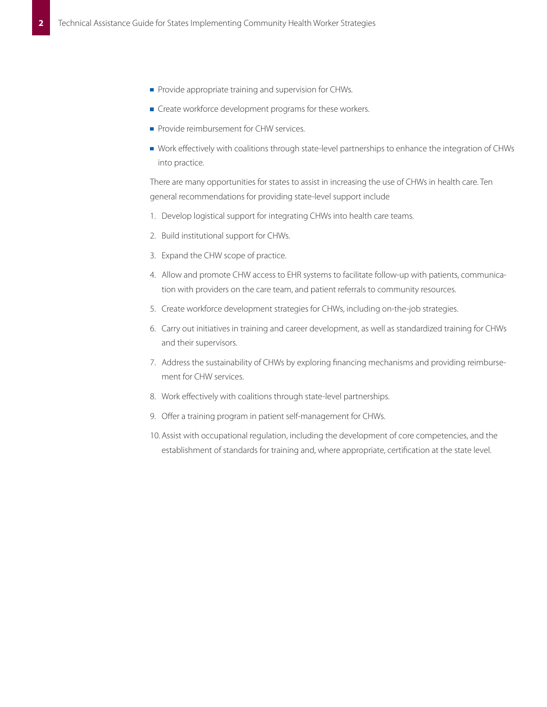- Provide appropriate training and supervision for CHWs.
- $\blacksquare$  Create workforce development programs for these workers.
- Provide reimbursement for CHW services.
- Work effectively with coalitions through state-level partnerships to enhance the integration of CHWs into practice.

There are many opportunities for states to assist in increasing the use of CHWs in health care. Ten general recommendations for providing state-level support include

- 1. Develop logistical support for integrating CHWs into health care teams.
- 2. Build institutional support for CHWs.
- 3. Expand the CHW scope of practice.
- 4. Allow and promote CHW access to EHR systems to facilitate follow-up with patients, communication with providers on the care team, and patient referrals to community resources.
- 5. Create workforce development strategies for CHWs, including on-the-job strategies.
- 6. Carry out initiatives in training and career development, as well as standardized training for CHWs and their supervisors.
- 7. Address the sustainability of CHWs by exploring financing mechanisms and providing reimbursement for CHW services.
- 8. Work effectively with coalitions through state-level partnerships.
- 9. Offer a training program in patient self-management for CHWs.
- 10. Assist with occupational regulation, including the development of core competencies, and the establishment of standards for training and, where appropriate, certification at the state level.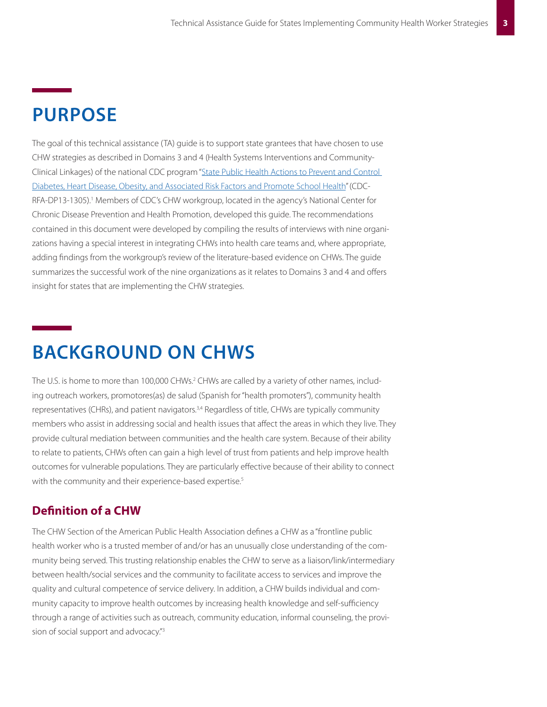# **PURPOSE**

The goal of this technical assistance (TA) guide is to support state grantees that have chosen to use CHW strategies as described in Domains 3 and 4 (Health Systems Interventions and Community-Clinical Linkages) of the national CDC program "[State Public Health Actions to Prevent and Control](http://www.cdc.gov/chronicdisease/about/statepubhealthactions-prevcd.htm)  [Diabetes, Heart Disease, Obesity, and Associated Risk Factors and Promote School Health](http://www.cdc.gov/chronicdisease/about/statepubhealthactions-prevcd.htm)" (CDC-RFA-DP13-1305).<sup>1</sup> Members of CDC's CHW workgroup, located in the agency's National Center for Chronic Disease Prevention and Health Promotion, developed this guide. The recommendations contained in this document were developed by compiling the results of interviews with nine organizations having a special interest in integrating CHWs into health care teams and, where appropriate, adding findings from the workgroup's review of the literature-based evidence on CHWs. The guide summarizes the successful work of the nine organizations as it relates to Domains 3 and 4 and offers insight for states that are implementing the CHW strategies.

# **BACKGROUND ON CHWS**

The U.S. is home to more than 100,000 CHWs.<sup>2</sup> CHWs are called by a variety of other names, including outreach workers, promotores(as) de salud (Spanish for "health promoters"), community health representatives (CHRs), and patient navigators.<sup>3,4</sup> Regardless of title, CHWs are typically community members who assist in addressing social and health issues that affect the areas in which they live. They provide cultural mediation between communities and the health care system. Because of their ability to relate to patients, CHWs often can gain a high level of trust from patients and help improve health outcomes for vulnerable populations. They are particularly effective because of their ability to connect with the community and their experience-based expertise.<sup>5</sup>

## **Definition of a CHW**

The CHW Section of the American Public Health Association defines a CHW as a "frontline public health worker who is a trusted member of and/or has an unusually close understanding of the community being served. This trusting relationship enables the CHW to serve as a liaison/link/intermediary between health/social services and the community to facilitate access to services and improve the quality and cultural competence of service delivery. In addition, a CHW builds individual and community capacity to improve health outcomes by increasing health knowledge and self-sufficiency through a range of activities such as outreach, community education, informal counseling, the provision of social support and advocacy."3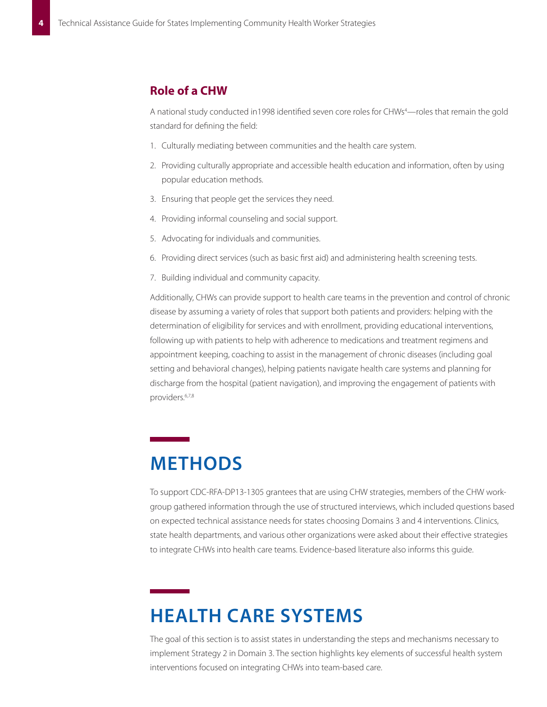## **Role of a CHW**

A national study conducted in 1998 identified seven core roles for CHWs<sup>4</sup>—roles that remain the gold standard for defining the field:

- 1. Culturally mediating between communities and the health care system.
- 2. Providing culturally appropriate and accessible health education and information, often by using popular education methods.
- 3. Ensuring that people get the services they need.
- 4. Providing informal counseling and social support.
- 5. Advocating for individuals and communities.
- 6. Providing direct services (such as basic first aid) and administering health screening tests.
- 7. Building individual and community capacity.

Additionally, CHWs can provide support to health care teams in the prevention and control of chronic disease by assuming a variety of roles that support both patients and providers: helping with the determination of eligibility for services and with enrollment, providing educational interventions, following up with patients to help with adherence to medications and treatment regimens and appointment keeping, coaching to assist in the management of chronic diseases (including goal setting and behavioral changes), helping patients navigate health care systems and planning for discharge from the hospital (patient navigation), and improving the engagement of patients with providers.6,7,8

# **METHODS**

To support CDC-RFA-DP13-1305 grantees that are using CHW strategies, members of the CHW workgroup gathered information through the use of structured interviews, which included questions based on expected technical assistance needs for states choosing Domains 3 and 4 interventions. Clinics, state health departments, and various other organizations were asked about their effective strategies to integrate CHWs into health care teams. Evidence-based literature also informs this guide.

# **HEALTH CARE SYSTEMS**

The goal of this section is to assist states in understanding the steps and mechanisms necessary to implement Strategy 2 in Domain 3. The section highlights key elements of successful health system interventions focused on integrating CHWs into team-based care.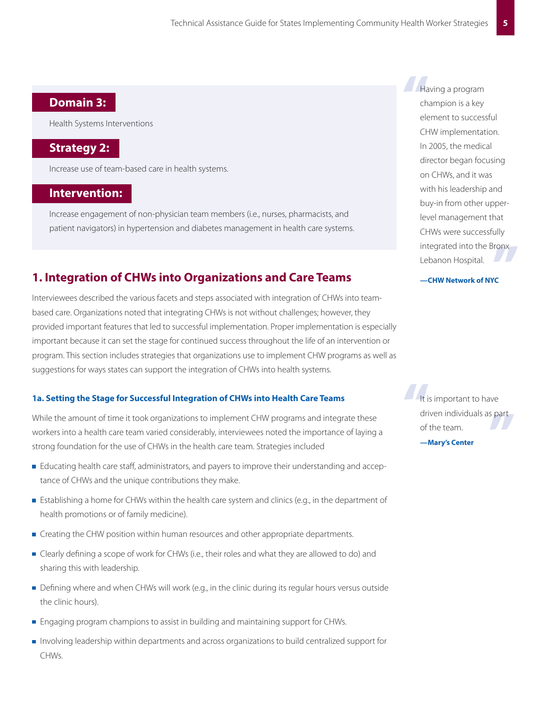## **Domain 3:**

Health Systems Interventions

## **Strategy 2:**

Increase use of team-based care in health systems.

## **Intervention:**

Increase engagement of non-physician team members (i.e., nurses, pharmacists, and patient navigators) in hypertension and diabetes management in health care systems.

## **1. Integration of CHWs into Organizations and Care Teams**

Interviewees described the various facets and steps associated with integration of CHWs into teambased care. Organizations noted that integrating CHWs is not without challenges; however, they provided important features that led to successful implementation. Proper implementation is especially important because it can set the stage for continued success throughout the life of an intervention or program. This section includes strategies that organizations use to implement CHW programs as well as suggestions for ways states can support the integration of CHWs into health systems.

### **1a. Setting the Stage for Successful Integration of CHWs into Health Care Teams**

While the amount of time it took organizations to implement CHW programs and integrate these workers into a health care team varied considerably, interviewees noted the importance of laying a strong foundation for the use of CHWs in the health care team. Strategies included

- **E** ducating health care staff, administrators, and payers to improve their understanding and acceptance of CHWs and the unique contributions they make.
- **Establishing a home for CHWs within the health care system and clinics (e.g., in the department of** health promotions or of family medicine).
- Creating the CHW position within human resources and other appropriate departments.
- **Example 2** Clearly defining a scope of work for CHWs (i.e., their roles and what they are allowed to do) and sharing this with leadership.
- Defining where and when CHWs will work (e.g., in the clinic during its regular hours versus outside the clinic hours).
- **Engaging program champions to assist in building and maintaining support for CHWs.**
- Involving leadership within departments and across organizations to build centralized support for CHWs.

Ha<br>
ch<br>
ele integrated into the Bronx<br>Lebanon Hospital.<br>—**CHW Network of NYC** Having a program champion is a key element to successful CHW implementation. In 2005, the medical director began focusing on CHWs, and it was with his leadership and buy-in from other upperlevel management that CHWs were successfully Lebanon Hospital.

#### **—CHW Network of NYC**

driven individuals as part<br>of the team.<br>—**Mary's Center** It is<br>dri<br>of It is important to have of the team.

**—Mary's Center**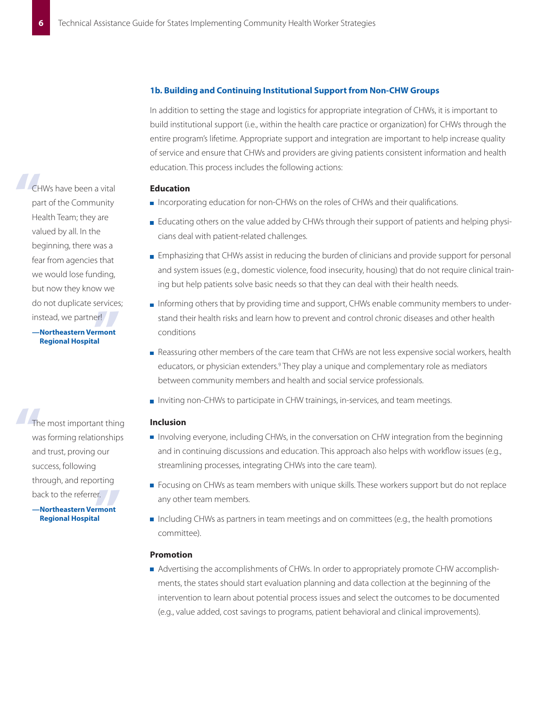#### **1b. Building and Continuing Institutional Support from Non-CHW Groups**

In addition to setting the stage and logistics for appropriate integration of CHWs, it is important to build institutional support (i.e., within the health care practice or organization) for CHWs through the entire program's lifetime. Appropriate support and integration are important to help increase quality of service and ensure that CHWs and providers are giving patients consistent information and health education. This process includes the following actions:

#### **Education**

- Incorporating education for non-CHWs on the roles of CHWs and their qualifications.
- Educating others on the value added by CHWs through their support of patients and helping physicians deal with patient-related challenges.
- **Emphasizing that CHWs assist in reducing the burden of clinicians and provide support for personal** and system issues (e.g., domestic violence, food insecurity, housing) that do not require clinical training but help patients solve basic needs so that they can deal with their health needs.
- Informing others that by providing time and support, CHWs enable community members to understand their health risks and learn how to prevent and control chronic diseases and other health conditions
- Reassuring other members of the care team that CHWs are not less expensive social workers, health educators, or physician extenders.<sup>9</sup> They play a unique and complementary role as mediators between community members and health and social service professionals.
- Inviting non-CHWs to participate in CHW trainings, in-services, and team meetings.

#### **Inclusion**

- **I** Involving everyone, including CHWs, in the conversation on CHW integration from the beginning and in continuing discussions and education. This approach also helps with workflow issues (e.g., streamlining processes, integrating CHWs into the care team).
- Focusing on CHWs as team members with unique skills. These workers support but do not replace any other team members.
- Including CHWs as partners in team meetings and on committees (e.g., the health promotions committee).

### **Promotion**

Advertising the accomplishments of CHWs. In order to appropriately promote CHW accomplishments, the states should start evaluation planning and data collection at the beginning of the intervention to learn about potential process issues and select the outcomes to be documented (e.g., value added, cost savings to programs, patient behavioral and clinical improvements).

er!<br><mark>Irmont</mark><br>al CH<sub>pa</sub> CHWs have been a vital part of the Community Health Team; they are valued by all. In the beginning, there was a fear from agencies that we would lose funding, but now they know we do not duplicate services; instead, we partner!

#### **—Northeastern Vermont Regional Hospital**

er.<br>**rmont**<br>al Th<br>Wa<br>an The most important thing was forming relationships and trust, proving our success, following through, and reporting back to the referrer.

**—Northeastern Vermont Regional Hospital**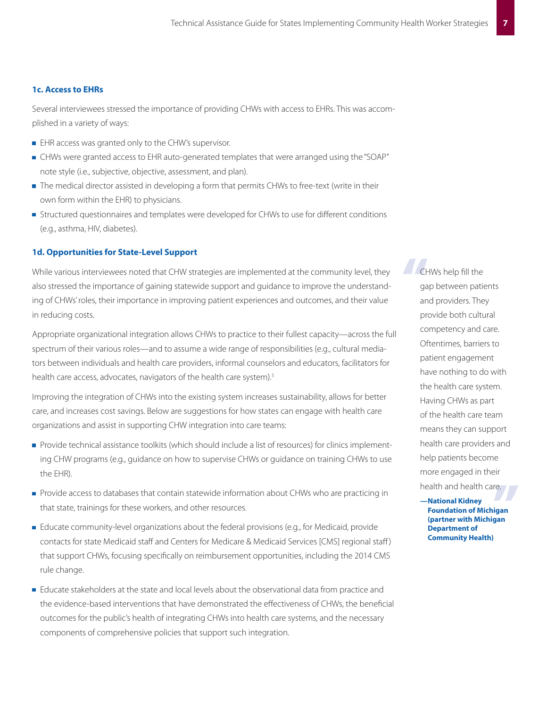### **1c. Access to EHRs**

Several interviewees stressed the importance of providing CHWs with access to EHRs. This was accomplished in a variety of ways:

- **EHR access was granted only to the CHW's supervisor.**
- CHWs were granted access to EHR auto-generated templates that were arranged using the "SOAP" note style (i.e., subjective, objective, assessment, and plan).
- The medical director assisted in developing a form that permits CHWs to free-text (write in their own form within the EHR) to physicians.
- Structured questionnaires and templates were developed for CHWs to use for different conditions (e.g., asthma, HIV, diabetes).

#### **1d. Opportunities for State-Level Support**

While various interviewees noted that CHW strategies are implemented at the community level, they also stressed the importance of gaining statewide support and guidance to improve the understanding of CHWs' roles, their importance in improving patient experiences and outcomes, and their value in reducing costs.

Appropriate organizational integration allows CHWs to practice to their fullest capacity—across the full spectrum of their various roles—and to assume a wide range of responsibilities (e.g., cultural mediators between individuals and health care providers, informal counselors and educators, facilitators for health care access, advocates, navigators of the health care system).<sup>5</sup>

Improving the integration of CHWs into the existing system increases sustainability, allows for better care, and increases cost savings. Below are suggestions for how states can engage with health care organizations and assist in supporting CHW integration into care teams:

- **Provide technical assistance toolkits (which should include a list of resources) for clinics implement**ing CHW programs (e.g., guidance on how to supervise CHWs or guidance on training CHWs to use the EHR).
- Provide access to databases that contain statewide information about CHWs who are practicing in that state, trainings for these workers, and other resources.
- **Educate community-level organizations about the federal provisions (e.g., for Medicaid, provide** contacts for state Medicaid staff and Centers for Medicare & Medicaid Services [CMS] regional staff ) that support CHWs, focusing specifically on reimbursement opportunities, including the 2014 CMS rule change.
- **Educate stakeholders at the state and local levels about the observational data from practice and** the evidence-based interventions that have demonstrated the effectiveness of CHWs, the beneficial outcomes for the public's health of integrating CHWs into health care systems, and the necessary components of comprehensive policies that support such integration.

CH<sub>ga</sub> CHWs help fill the gap between patients and providers. They provide both cultural competency and care. Oftentimes, barriers to patient engagement have nothing to do with the health care system. Having CHWs as part of the health care team means they can support health care providers and help patients become more engaged in their health and health care.

re.<br>**igan**<br>**gan —National Kidney Foundation of Michigan (partner with Michigan Department of Community Health)**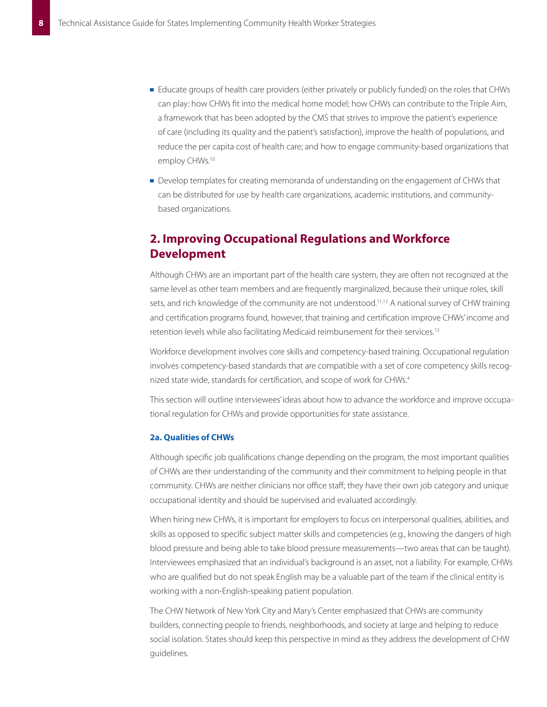- **E** ducate groups of health care providers (either privately or publicly funded) on the roles that CHWs can play: how CHWs fit into the medical home model; how CHWs can contribute to the Triple Aim, a framework that has been adopted by the CMS that strives to improve the patient's experience of care (including its quality and the patient's satisfaction), improve the health of populations, and reduce the per capita cost of health care; and how to engage community-based organizations that employ CHWs.<sup>10</sup>
- Develop templates for creating memoranda of understanding on the engagement of CHWs that can be distributed for use by health care organizations, academic institutions, and communitybased organizations.

## **2� Improving Occupational Regulations and Workforce Development**

Although CHWs are an important part of the health care system, they are often not recognized at the same level as other team members and are frequently marginalized, because their unique roles, skill sets, and rich knowledge of the community are not understood.<sup>11,12</sup> A national survey of CHW training and certification programs found, however, that training and certification improve CHWs' income and retention levels while also facilitating Medicaid reimbursement for their services.13

Workforce development involves core skills and competency-based training. Occupational regulation involves competency-based standards that are compatible with a set of core competency skills recognized state wide, standards for certification, and scope of work for CHWs.4

This section will outline interviewees' ideas about how to advance the workforce and improve occupational regulation for CHWs and provide opportunities for state assistance.

### **2a. Qualities of CHWs**

Although specific job qualifications change depending on the program, the most important qualities of CHWs are their understanding of the community and their commitment to helping people in that community. CHWs are neither clinicians nor office staff; they have their own job category and unique occupational identity and should be supervised and evaluated accordingly.

When hiring new CHWs, it is important for employers to focus on interpersonal qualities, abilities, and skills as opposed to specific subject matter skills and competencies (e.g., knowing the dangers of high blood pressure and being able to take blood pressure measurements—two areas that can be taught). Interviewees emphasized that an individual's background is an asset, not a liability. For example, CHWs who are qualified but do not speak English may be a valuable part of the team if the clinical entity is working with a non-English-speaking patient population.

The CHW Network of New York City and Mary's Center emphasized that CHWs are community builders, connecting people to friends, neighborhoods, and society at large and helping to reduce social isolation. States should keep this perspective in mind as they address the development of CHW guidelines.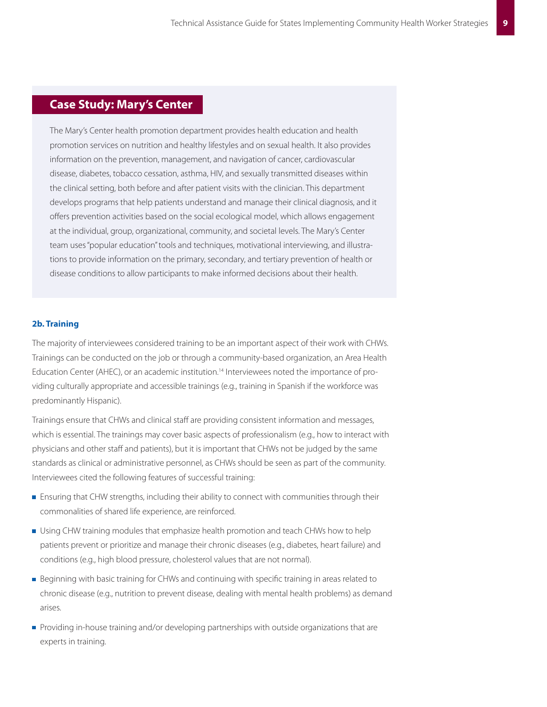## **Case Study: Mary's Center**

The Mary's Center health promotion department provides health education and health promotion services on nutrition and healthy lifestyles and on sexual health. It also provides information on the prevention, management, and navigation of cancer, cardiovascular disease, diabetes, tobacco cessation, asthma, HIV, and sexually transmitted diseases within the clinical setting, both before and after patient visits with the clinician. This department develops programs that help patients understand and manage their clinical diagnosis, and it offers prevention activities based on the social ecological model, which allows engagement at the individual, group, organizational, community, and societal levels. The Mary's Center team uses "popular education" tools and techniques, motivational interviewing, and illustrations to provide information on the primary, secondary, and tertiary prevention of health or disease conditions to allow participants to make informed decisions about their health.

### **2b. Training**

The majority of interviewees considered training to be an important aspect of their work with CHWs. Trainings can be conducted on the job or through a community-based organization, an Area Health Education Center (AHEC), or an academic institution.<sup>14</sup> Interviewees noted the importance of providing culturally appropriate and accessible trainings (e.g., training in Spanish if the workforce was predominantly Hispanic).

Trainings ensure that CHWs and clinical staff are providing consistent information and messages, which is essential. The trainings may cover basic aspects of professionalism (e.g., how to interact with physicians and other staff and patients), but it is important that CHWs not be judged by the same standards as clinical or administrative personnel, as CHWs should be seen as part of the community. Interviewees cited the following features of successful training:

- **Ensuring that CHW strengths, including their ability to connect with communities through their** commonalities of shared life experience, are reinforced.
- **Using CHW training modules that emphasize health promotion and teach CHWs how to help** patients prevent or prioritize and manage their chronic diseases (e.g., diabetes, heart failure) and conditions (e.g., high blood pressure, cholesterol values that are not normal).
- **Beginning with basic training for CHWs and continuing with specific training in areas related to** chronic disease (e.g., nutrition to prevent disease, dealing with mental health problems) as demand arises.
- **Providing in-house training and/or developing partnerships with outside organizations that are** experts in training.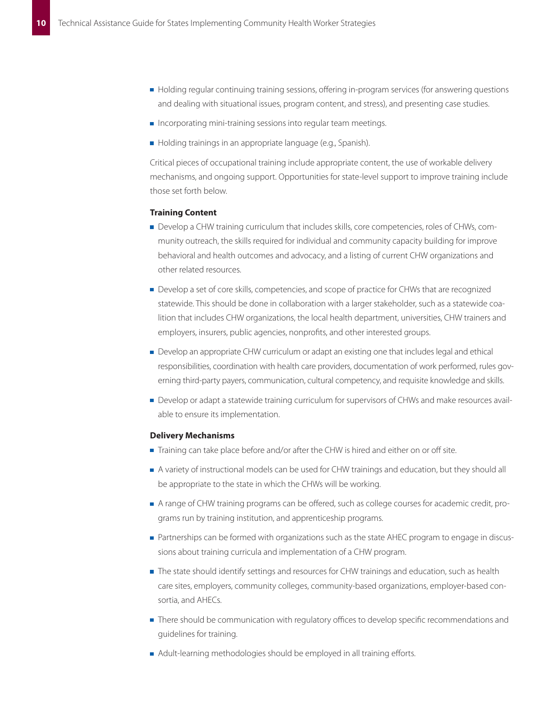- Holding regular continuing training sessions, offering in-program services (for answering questions and dealing with situational issues, program content, and stress), and presenting case studies.
- $\blacksquare$  Incorporating mini-training sessions into regular team meetings.
- Holding trainings in an appropriate language (e.g., Spanish).

Critical pieces of occupational training include appropriate content, the use of workable delivery mechanisms, and ongoing support. Opportunities for state-level support to improve training include those set forth below.

#### **Training Content**

- Develop a CHW training curriculum that includes skills, core competencies, roles of CHWs, community outreach, the skills required for individual and community capacity building for improve behavioral and health outcomes and advocacy, and a listing of current CHW organizations and other related resources.
- **Develop a set of core skills, competencies, and scope of practice for CHWs that are recognized** statewide. This should be done in collaboration with a larger stakeholder, such as a statewide coalition that includes CHW organizations, the local health department, universities, CHW trainers and employers, insurers, public agencies, nonprofits, and other interested groups.
- **Develop an appropriate CHW curriculum or adapt an existing one that includes legal and ethical** responsibilities, coordination with health care providers, documentation of work performed, rules governing third-party payers, communication, cultural competency, and requisite knowledge and skills.
- Develop or adapt a statewide training curriculum for supervisors of CHWs and make resources available to ensure its implementation.

#### **Delivery Mechanisms**

- Training can take place before and/or after the CHW is hired and either on or off site.
- A variety of instructional models can be used for CHW trainings and education, but they should all be appropriate to the state in which the CHWs will be working.
- A range of CHW training programs can be offered, such as college courses for academic credit, programs run by training institution, and apprenticeship programs.
- **Partnerships can be formed with organizations such as the state AHEC program to engage in discus**sions about training curricula and implementation of a CHW program.
- The state should identify settings and resources for CHW trainings and education, such as health care sites, employers, community colleges, community-based organizations, employer-based consortia, and AHECs.
- **There should be communication with regulatory offices to develop specific recommendations and** guidelines for training.
- A dult-learning methodologies should be employed in all training efforts.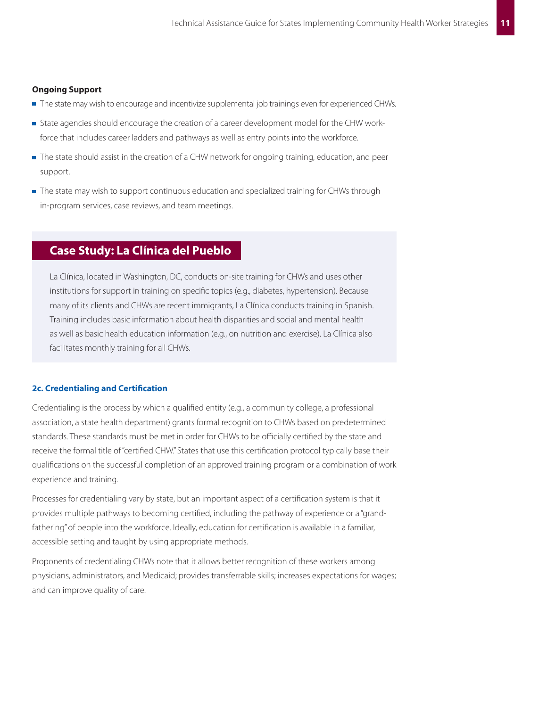#### **Ongoing Support**

- The state may wish to encourage and incentivize supplemental job trainings even for experienced CHWs.
- State agencies should encourage the creation of a career development model for the CHW workforce that includes career ladders and pathways as well as entry points into the workforce.
- The state should assist in the creation of a CHW network for ongoing training, education, and peer support.
- The state may wish to support continuous education and specialized training for CHWs through in-program services, case reviews, and team meetings.

## **Case Study: La Clínica del Pueblo**

La Clínica, located in Washington, DC, conducts on-site training for CHWs and uses other institutions for support in training on specific topics (e.g., diabetes, hypertension). Because many of its clients and CHWs are recent immigrants, La Clínica conducts training in Spanish. Training includes basic information about health disparities and social and mental health as well as basic health education information (e.g., on nutrition and exercise). La Clínica also facilitates monthly training for all CHWs.

### **2c. Credentialing and Certification**

Credentialing is the process by which a qualified entity (e.g., a community college, a professional association, a state health department) grants formal recognition to CHWs based on predetermined standards. These standards must be met in order for CHWs to be officially certified by the state and receive the formal title of "certified CHW." States that use this certification protocol typically base their qualifications on the successful completion of an approved training program or a combination of work experience and training.

Processes for credentialing vary by state, but an important aspect of a certification system is that it provides multiple pathways to becoming certified, including the pathway of experience or a "grandfathering" of people into the workforce. Ideally, education for certification is available in a familiar, accessible setting and taught by using appropriate methods.

Proponents of credentialing CHWs note that it allows better recognition of these workers among physicians, administrators, and Medicaid; provides transferrable skills; increases expectations for wages; and can improve quality of care.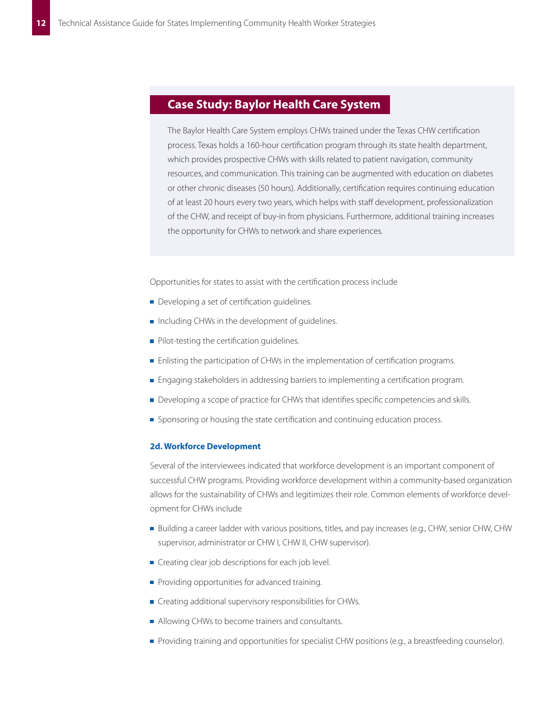## **Case Study: Baylor Health Care System**

The Baylor Health Care System employs CHWs trained under the Texas CHW certification process. Texas holds a 160-hour certification program through its state health department, which provides prospective CHWs with skills related to patient navigation, community resources, and communication. This training can be augmented with education on diabetes or other chronic diseases (50 hours). Additionally, certification requires continuing education of at least 20 hours every two years, which helps with staff development, professionalization of the CHW, and receipt of buy-in from physicians. Furthermore, additional training increases the opportunity for CHWs to network and share experiences.

Opportunities for states to assist with the certification process include

- $\blacksquare$  Developing a set of certification quidelines.
- Including CHWs in the development of quidelines.
- $\blacksquare$  Pilot-testing the certification guidelines.
- **Enlisting the participation of CHWs in the implementation of certification programs.**
- **Engaging stakeholders in addressing barriers to implementing a certification program.**
- Developing a scope of practice for CHWs that identifies specific competencies and skills.
- **Sponsoring or housing the state certification and continuing education process.**

### **2d. Workforce Development**

Several of the interviewees indicated that workforce development is an important component of successful CHW programs. Providing workforce development within a community-based organization allows for the sustainability of CHWs and legitimizes their role. Common elements of workforce development for CHWs include

- Building a career ladder with various positions, titles, and pay increases (e.g., CHW, senior CHW, CHW supervisor, administrator or CHW I, CHW II, CHW supervisor).
- $\blacksquare$  Creating clear job descriptions for each job level.
- **Providing opportunities for advanced training.**
- $\blacksquare$  Creating additional supervisory responsibilities for CHWs.
- Allowing CHWs to become trainers and consultants.
- **Providing training and opportunities for specialist CHW positions (e.g., a breastfeeding counselor).**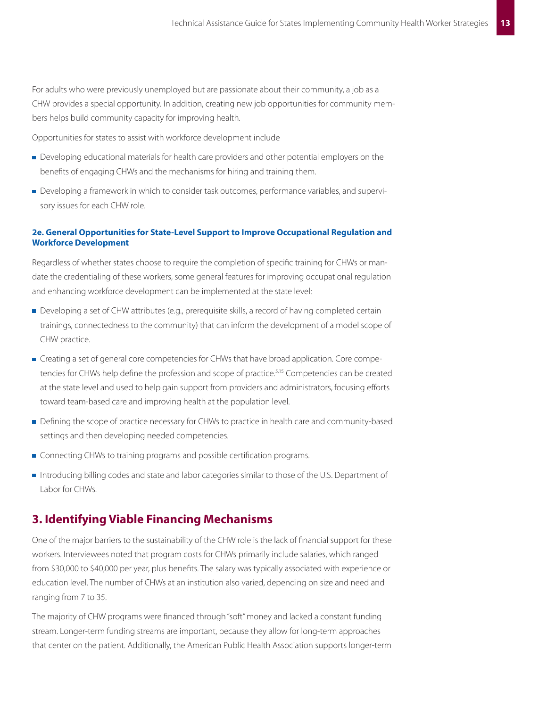For adults who were previously unemployed but are passionate about their community, a job as a CHW provides a special opportunity. In addition, creating new job opportunities for community members helps build community capacity for improving health.

Opportunities for states to assist with workforce development include

- Developing educational materials for health care providers and other potential employers on the benefits of engaging CHWs and the mechanisms for hiring and training them.
- Developing a framework in which to consider task outcomes, performance variables, and supervisory issues for each CHW role.

### **2e. General Opportunities for State-Level Support to Improve Occupational Regulation and Workforce Development**

Regardless of whether states choose to require the completion of specific training for CHWs or mandate the credentialing of these workers, some general features for improving occupational regulation and enhancing workforce development can be implemented at the state level:

- **Developing a set of CHW attributes (e.g., prerequisite skills, a record of having completed certain** trainings, connectedness to the community) that can inform the development of a model scope of CHW practice.
- **Creating a set of general core competencies for CHWs that have broad application. Core compe**tencies for CHWs help define the profession and scope of practice.<sup>5,15</sup> Competencies can be created at the state level and used to help gain support from providers and administrators, focusing efforts toward team-based care and improving health at the population level.
- **Defining the scope of practice necessary for CHWs to practice in health care and community-based** settings and then developing needed competencies.
- **Connecting CHWs to training programs and possible certification programs.**
- Introducing billing codes and state and labor categories similar to those of the U.S. Department of Labor for CHWs.

## **3. Identifying Viable Financing Mechanisms**

One of the major barriers to the sustainability of the CHW role is the lack of financial support for these workers. Interviewees noted that program costs for CHWs primarily include salaries, which ranged from \$30,000 to \$40,000 per year, plus benefits. The salary was typically associated with experience or education level. The number of CHWs at an institution also varied, depending on size and need and ranging from 7 to 35.

The majority of CHW programs were financed through "soft" money and lacked a constant funding stream. Longer-term funding streams are important, because they allow for long-term approaches that center on the patient. Additionally, the American Public Health Association supports longer-term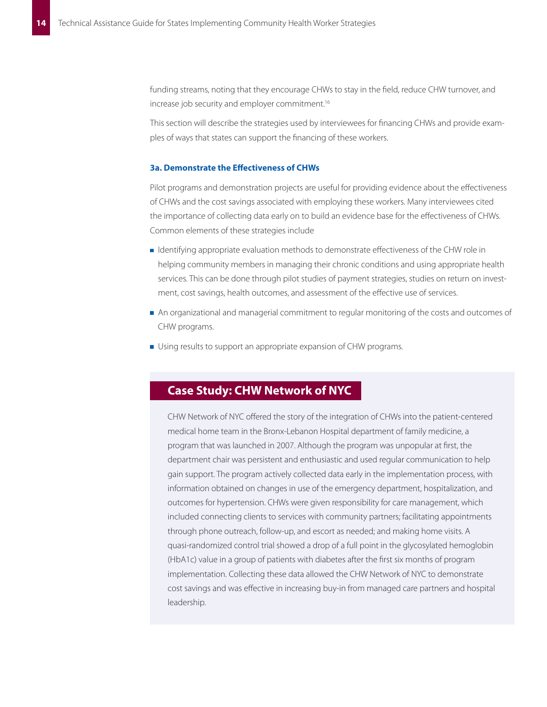funding streams, noting that they encourage CHWs to stay in the field, reduce CHW turnover, and increase job security and employer commitment.<sup>16</sup>

This section will describe the strategies used by interviewees for financing CHWs and provide examples of ways that states can support the financing of these workers.

#### **3a. Demonstrate the Effectiveness of CHWs**

Pilot programs and demonstration projects are useful for providing evidence about the effectiveness of CHWs and the cost savings associated with employing these workers. Many interviewees cited the importance of collecting data early on to build an evidence base for the effectiveness of CHWs. Common elements of these strategies include

- Identifying appropriate evaluation methods to demonstrate effectiveness of the CHW role in helping community members in managing their chronic conditions and using appropriate health services. This can be done through pilot studies of payment strategies, studies on return on investment, cost savings, health outcomes, and assessment of the effective use of services.
- An organizational and managerial commitment to regular monitoring of the costs and outcomes of CHW programs.
- $\blacksquare$  Using results to support an appropriate expansion of CHW programs.

# **Case Study: CHW Network of NYC**

CHW Network of NYC offered the story of the integration of CHWs into the patient-centered medical home team in the Bronx-Lebanon Hospital department of family medicine, a program that was launched in 2007. Although the program was unpopular at first, the department chair was persistent and enthusiastic and used regular communication to help gain support. The program actively collected data early in the implementation process, with information obtained on changes in use of the emergency department, hospitalization, and outcomes for hypertension. CHWs were given responsibility for care management, which included connecting clients to services with community partners; facilitating appointments through phone outreach, follow-up, and escort as needed; and making home visits. A quasi-randomized control trial showed a drop of a full point in the glycosylated hemoglobin (HbA1c) value in a group of patients with diabetes after the first six months of program implementation. Collecting these data allowed the CHW Network of NYC to demonstrate cost savings and was effective in increasing buy-in from managed care partners and hospital leadership.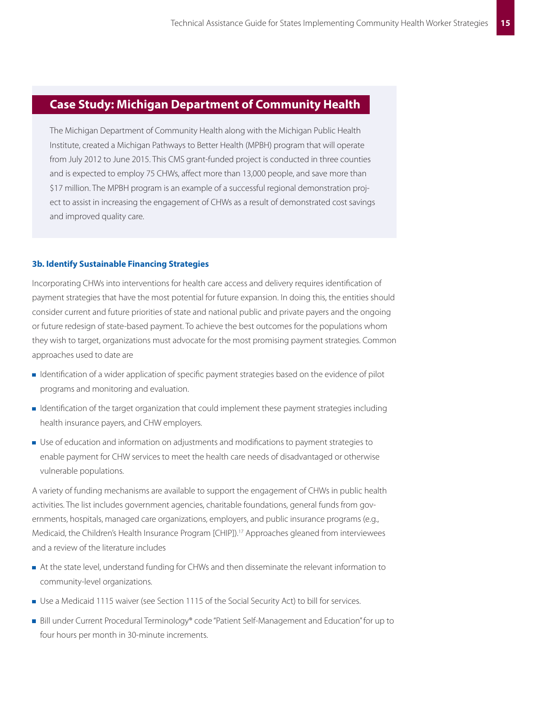# **Case Study: Michigan Department of Community Health**

The Michigan Department of Community Health along with the Michigan Public Health Institute, created a Michigan Pathways to Better Health (MPBH) program that will operate from July 2012 to June 2015. This CMS grant-funded project is conducted in three counties and is expected to employ 75 CHWs, affect more than 13,000 people, and save more than \$17 million. The MPBH program is an example of a successful regional demonstration project to assist in increasing the engagement of CHWs as a result of demonstrated cost savings and improved quality care.

#### **3b. Identify Sustainable Financing Strategies**

Incorporating CHWs into interventions for health care access and delivery requires identification of payment strategies that have the most potential for future expansion. In doing this, the entities should consider current and future priorities of state and national public and private payers and the ongoing or future redesign of state-based payment. To achieve the best outcomes for the populations whom they wish to target, organizations must advocate for the most promising payment strategies. Common approaches used to date are

- I dentification of a wider application of specific payment strategies based on the evidence of pilot programs and monitoring and evaluation.
- **IDENTIFICATION** Identification of the target organization that could implement these payment strategies including health insurance payers, and CHW employers.
- Use of education and information on adjustments and modifications to payment strategies to enable payment for CHW services to meet the health care needs of disadvantaged or otherwise vulnerable populations.

A variety of funding mechanisms are available to support the engagement of CHWs in public health activities. The list includes government agencies, charitable foundations, general funds from governments, hospitals, managed care organizations, employers, and public insurance programs (e.g., Medicaid, the Children's Health Insurance Program [CHIP]).17 Approaches gleaned from interviewees and a review of the literature includes

- At the state level, understand funding for CHWs and then disseminate the relevant information to community-level organizations.
- Use a Medicaid 1115 waiver (see Section 1115 of the Social Security Act) to bill for services.
- Bill under Current Procedural Terminology® code "Patient Self-Management and Education" for up to four hours per month in 30-minute increments.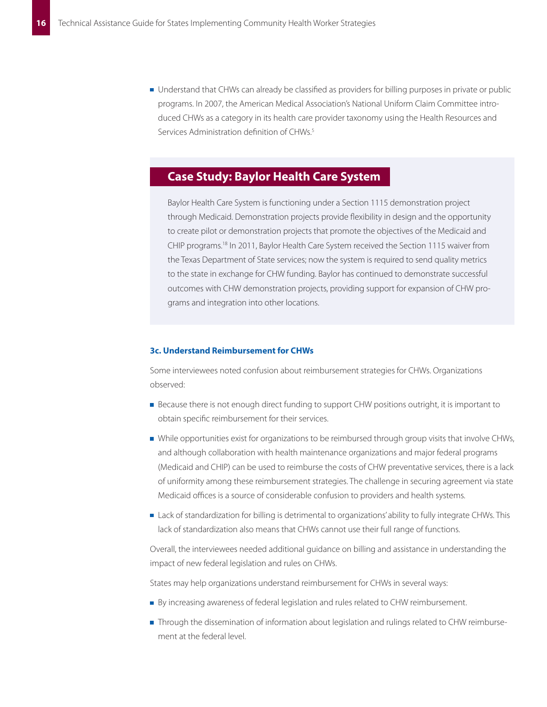Understand that CHWs can already be classified as providers for billing purposes in private or public programs. In 2007, the American Medical Association's National Uniform Claim Committee introduced CHWs as a category in its health care provider taxonomy using the Health Resources and Services Administration definition of CHWs.<sup>5</sup>

## **Case Study: Baylor Health Care System**

Baylor Health Care System is functioning under a Section 1115 demonstration project through Medicaid. Demonstration projects provide flexibility in design and the opportunity to create pilot or demonstration projects that promote the objectives of the Medicaid and CHIP programs.18 In 2011, Baylor Health Care System received the Section 1115 waiver from the Texas Department of State services; now the system is required to send quality metrics to the state in exchange for CHW funding. Baylor has continued to demonstrate successful outcomes with CHW demonstration projects, providing support for expansion of CHW programs and integration into other locations.

#### **3c. Understand Reimbursement for CHWs**

Some interviewees noted confusion about reimbursement strategies for CHWs. Organizations observed:

- **Because there is not enough direct funding to support CHW positions outright, it is important to** obtain specific reimbursement for their services.
- While opportunities exist for organizations to be reimbursed through group visits that involve CHWs, and although collaboration with health maintenance organizations and major federal programs (Medicaid and CHIP) can be used to reimburse the costs of CHW preventative services, there is a lack of uniformity among these reimbursement strategies. The challenge in securing agreement via state Medicaid offices is a source of considerable confusion to providers and health systems.
- **Lack of standardization for billing is detrimental to organizations' ability to fully integrate CHWs. This** lack of standardization also means that CHWs cannot use their full range of functions.

Overall, the interviewees needed additional guidance on billing and assistance in understanding the impact of new federal legislation and rules on CHWs.

States may help organizations understand reimbursement for CHWs in several ways:

- By increasing awareness of federal legislation and rules related to CHW reimbursement.
- **Through the dissemination of information about legislation and rulings related to CHW reimburse**ment at the federal level.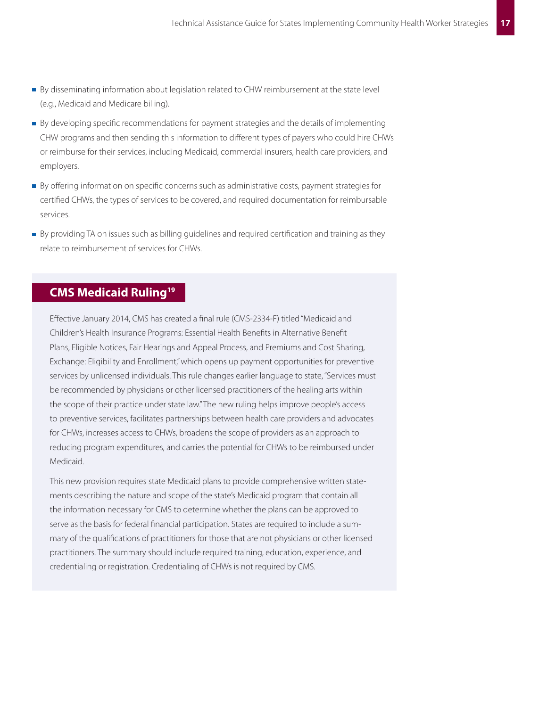- By disseminating information about legislation related to CHW reimbursement at the state level (e.g., Medicaid and Medicare billing).
- By developing specific recommendations for payment strategies and the details of implementing CHW programs and then sending this information to different types of payers who could hire CHWs or reimburse for their services, including Medicaid, commercial insurers, health care providers, and employers.
- By offering information on specific concerns such as administrative costs, payment strategies for certified CHWs, the types of services to be covered, and required documentation for reimbursable services.
- By providing TA on issues such as billing guidelines and required certification and training as they relate to reimbursement of services for CHWs.

## **CMS Medicaid Ruling19**

Effective January 2014, CMS has created a final rule (CMS-2334-F) titled "Medicaid and Children's Health Insurance Programs: Essential Health Benefits in Alternative Benefit Plans, Eligible Notices, Fair Hearings and Appeal Process, and Premiums and Cost Sharing, Exchange: Eligibility and Enrollment," which opens up payment opportunities for preventive services by unlicensed individuals. This rule changes earlier language to state, "Services must be recommended by physicians or other licensed practitioners of the healing arts within the scope of their practice under state law." The new ruling helps improve people's access to preventive services, facilitates partnerships between health care providers and advocates for CHWs, increases access to CHWs, broadens the scope of providers as an approach to reducing program expenditures, and carries the potential for CHWs to be reimbursed under Medicaid.

This new provision requires state Medicaid plans to provide comprehensive written statements describing the nature and scope of the state's Medicaid program that contain all the information necessary for CMS to determine whether the plans can be approved to serve as the basis for federal financial participation. States are required to include a summary of the qualifications of practitioners for those that are not physicians or other licensed practitioners. The summary should include required training, education, experience, and credentialing or registration. Credentialing of CHWs is not required by CMS.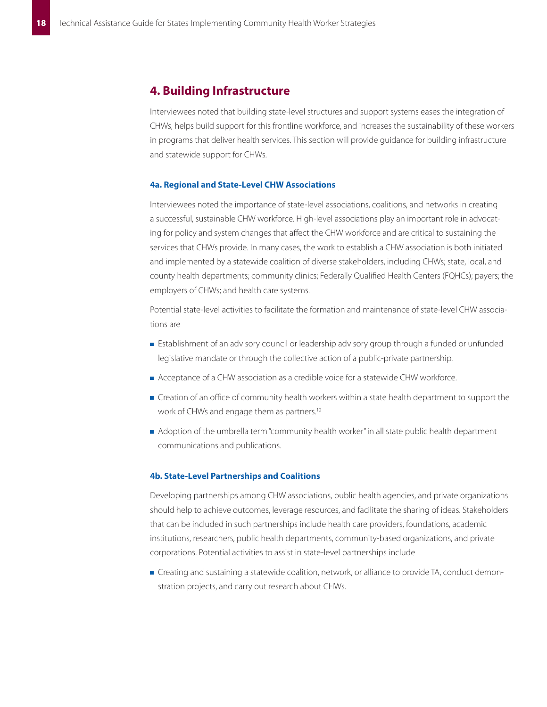## **4. Building Infrastructure**

Interviewees noted that building state-level structures and support systems eases the integration of CHWs, helps build support for this frontline workforce, and increases the sustainability of these workers in programs that deliver health services. This section will provide guidance for building infrastructure and statewide support for CHWs.

#### **4a. Regional and State-Level CHW Associations**

Interviewees noted the importance of state-level associations, coalitions, and networks in creating a successful, sustainable CHW workforce. High-level associations play an important role in advocating for policy and system changes that affect the CHW workforce and are critical to sustaining the services that CHWs provide. In many cases, the work to establish a CHW association is both initiated and implemented by a statewide coalition of diverse stakeholders, including CHWs; state, local, and county health departments; community clinics; Federally Qualified Health Centers (FQHCs); payers; the employers of CHWs; and health care systems.

Potential state-level activities to facilitate the formation and maintenance of state-level CHW associations are

- **Establishment of an advisory council or leadership advisory group through a funded or unfunded** legislative mandate or through the collective action of a public-private partnership.
- Acceptance of a CHW association as a credible voice for a statewide CHW workforce.
- **Creation of an office of community health workers within a state health department to support the** work of CHWs and engage them as partners.<sup>12</sup>
- Adoption of the umbrella term "community health worker" in all state public health department communications and publications.

#### **4b. State-Level Partnerships and Coalitions**

Developing partnerships among CHW associations, public health agencies, and private organizations should help to achieve outcomes, leverage resources, and facilitate the sharing of ideas. Stakeholders that can be included in such partnerships include health care providers, foundations, academic institutions, researchers, public health departments, community-based organizations, and private corporations. Potential activities to assist in state-level partnerships include

**Creating and sustaining a statewide coalition, network, or alliance to provide TA, conduct demon**stration projects, and carry out research about CHWs.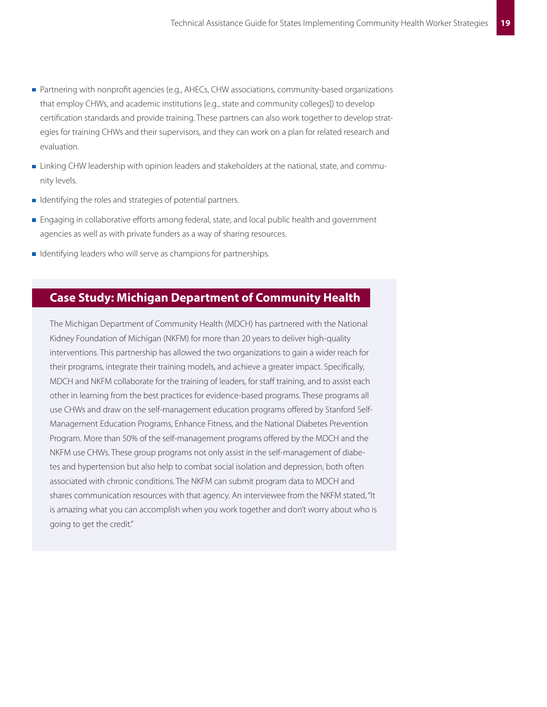- **Partnering with nonprofit agencies (e.g., AHECs, CHW associations, community-based organizations** that employ CHWs, and academic institutions [e.g., state and community colleges]) to develop certification standards and provide training. These partners can also work together to develop strategies for training CHWs and their supervisors, and they can work on a plan for related research and evaluation.
- **Linking CHW leadership with opinion leaders and stakeholders at the national, state, and commu**nity levels.
- I Identifying the roles and strategies of potential partners.
- **Engaging in collaborative efforts among federal, state, and local public health and government** agencies as well as with private funders as a way of sharing resources.
- I Identifying leaders who will serve as champions for partnerships.

## **Case Study: Michigan Department of Community Health**

The Michigan Department of Community Health (MDCH) has partnered with the National Kidney Foundation of Michigan (NKFM) for more than 20 years to deliver high-quality interventions. This partnership has allowed the two organizations to gain a wider reach for their programs, integrate their training models, and achieve a greater impact. Specifically, MDCH and NKFM collaborate for the training of leaders, for staff training, and to assist each other in learning from the best practices for evidence-based programs. These programs all use CHWs and draw on the self-management education programs offered by Stanford Self-Management Education Programs, Enhance Fitness, and the National Diabetes Prevention Program. More than 50% of the self-management programs offered by the MDCH and the NKFM use CHWs. These group programs not only assist in the self-management of diabetes and hypertension but also help to combat social isolation and depression, both often associated with chronic conditions. The NKFM can submit program data to MDCH and shares communication resources with that agency. An interviewee from the NKFM stated, "It is amazing what you can accomplish when you work together and don't worry about who is going to get the credit."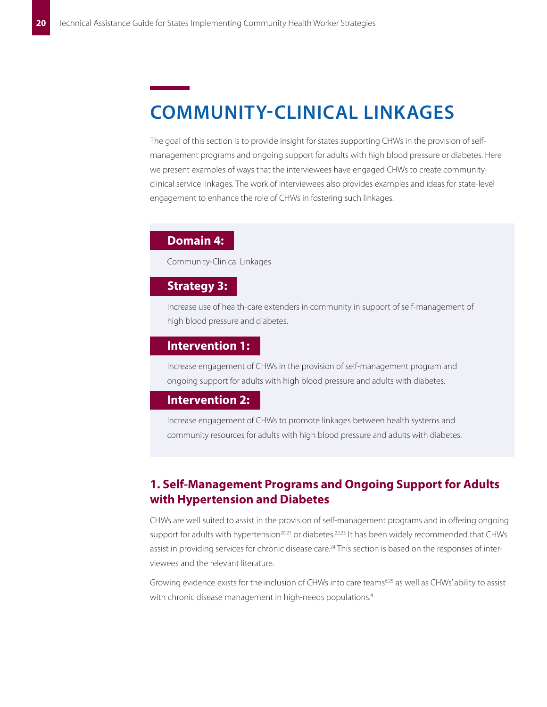# **COMMUNITY-CLINICAL LINKAGES**

The goal of this section is to provide insight for states supporting CHWs in the provision of selfmanagement programs and ongoing support for adults with high blood pressure or diabetes. Here we present examples of ways that the interviewees have engaged CHWs to create communityclinical service linkages. The work of interviewees also provides examples and ideas for state-level engagement to enhance the role of CHWs in fostering such linkages.

## **Domain 4:**

Community-Clinical Linkages

## **Strategy 3:**

Increase use of health-care extenders in community in support of self-management of high blood pressure and diabetes.

## **Intervention 1:**

Increase engagement of CHWs in the provision of self-management program and ongoing support for adults with high blood pressure and adults with diabetes.

## **Intervention 2:**

Increase engagement of CHWs to promote linkages between health systems and community resources for adults with high blood pressure and adults with diabetes.

## **1� Self-Management Programs and Ongoing Support for Adults with Hypertension and Diabetes**

CHWs are well suited to assist in the provision of self-management programs and in offering ongoing support for adults with hypertension<sup>20,21</sup> or diabetes.<sup>22,23</sup> It has been widely recommended that CHWs assist in providing services for chronic disease care.<sup>24</sup> This section is based on the responses of interviewees and the relevant literature.

Growing evidence exists for the inclusion of CHWs into care teams<sup>6,25</sup> as well as CHWs' ability to assist with chronic disease management in high-needs populations.<sup>4</sup>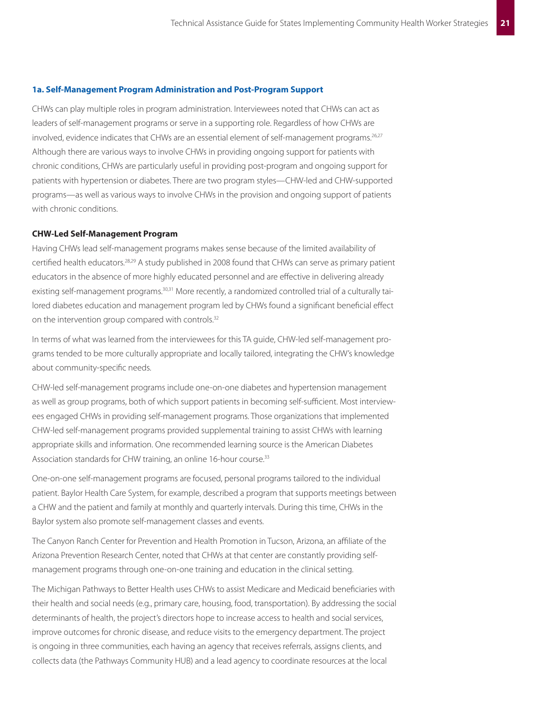#### **1a. Self-Management Program Administration and Post-Program Support**

CHWs can play multiple roles in program administration. Interviewees noted that CHWs can act as leaders of self-management programs or serve in a supporting role. Regardless of how CHWs are involved, evidence indicates that CHWs are an essential element of self-management programs.<sup>26,27</sup> Although there are various ways to involve CHWs in providing ongoing support for patients with chronic conditions, CHWs are particularly useful in providing post-program and ongoing support for patients with hypertension or diabetes. There are two program styles—CHW-led and CHW-supported programs—as well as various ways to involve CHWs in the provision and ongoing support of patients with chronic conditions.

#### **CHW-Led Self-Management Program**

Having CHWs lead self-management programs makes sense because of the limited availability of certified health educators.28,29 A study published in 2008 found that CHWs can serve as primary patient educators in the absence of more highly educated personnel and are effective in delivering already existing self-management programs.<sup>30,31</sup> More recently, a randomized controlled trial of a culturally tailored diabetes education and management program led by CHWs found a significant beneficial effect on the intervention group compared with controls.<sup>32</sup>

In terms of what was learned from the interviewees for this TA guide, CHW-led self-management programs tended to be more culturally appropriate and locally tailored, integrating the CHW's knowledge about community-specific needs.

CHW-led self-management programs include one-on-one diabetes and hypertension management as well as group programs, both of which support patients in becoming self-sufficient. Most interviewees engaged CHWs in providing self-management programs. Those organizations that implemented CHW-led self-management programs provided supplemental training to assist CHWs with learning appropriate skills and information. One recommended learning source is the American Diabetes Association standards for CHW training, an online 16-hour course.<sup>33</sup>

One-on-one self-management programs are focused, personal programs tailored to the individual patient. Baylor Health Care System, for example, described a program that supports meetings between a CHW and the patient and family at monthly and quarterly intervals. During this time, CHWs in the Baylor system also promote self-management classes and events.

The Canyon Ranch Center for Prevention and Health Promotion in Tucson, Arizona, an affiliate of the Arizona Prevention Research Center, noted that CHWs at that center are constantly providing selfmanagement programs through one-on-one training and education in the clinical setting.

The Michigan Pathways to Better Health uses CHWs to assist Medicare and Medicaid beneficiaries with their health and social needs (e.g., primary care, housing, food, transportation). By addressing the social determinants of health, the project's directors hope to increase access to health and social services, improve outcomes for chronic disease, and reduce visits to the emergency department. The project is ongoing in three communities, each having an agency that receives referrals, assigns clients, and collects data (the Pathways Community HUB) and a lead agency to coordinate resources at the local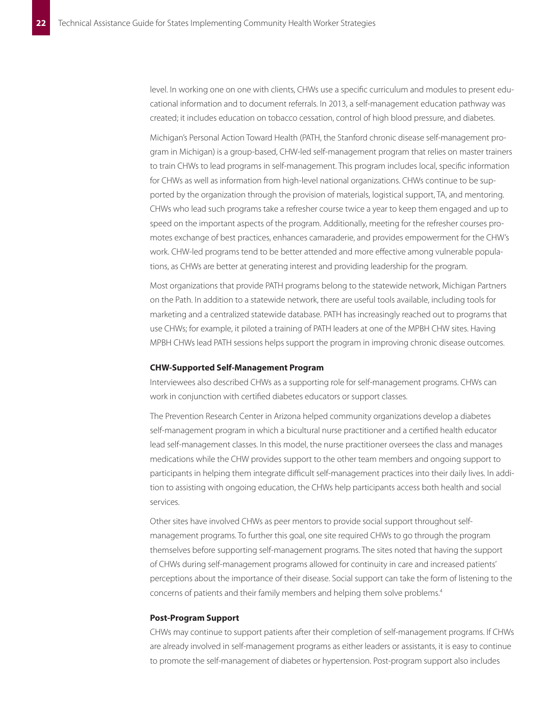level. In working one on one with clients, CHWs use a specific curriculum and modules to present educational information and to document referrals. In 2013, a self-management education pathway was created; it includes education on tobacco cessation, control of high blood pressure, and diabetes.

Michigan's Personal Action Toward Health (PATH, the Stanford chronic disease self-management program in Michigan) is a group-based, CHW-led self-management program that relies on master trainers to train CHWs to lead programs in self-management. This program includes local, specific information for CHWs as well as information from high-level national organizations. CHWs continue to be supported by the organization through the provision of materials, logistical support, TA, and mentoring. CHWs who lead such programs take a refresher course twice a year to keep them engaged and up to speed on the important aspects of the program. Additionally, meeting for the refresher courses promotes exchange of best practices, enhances camaraderie, and provides empowerment for the CHW's work. CHW-led programs tend to be better attended and more effective among vulnerable populations, as CHWs are better at generating interest and providing leadership for the program.

Most organizations that provide PATH programs belong to the statewide network, Michigan Partners on the Path. In addition to a statewide network, there are useful tools available, including tools for marketing and a centralized statewide database. PATH has increasingly reached out to programs that use CHWs; for example, it piloted a training of PATH leaders at one of the MPBH CHW sites. Having MPBH CHWs lead PATH sessions helps support the program in improving chronic disease outcomes.

### **CHW-Supported Self-Management Program**

Interviewees also described CHWs as a supporting role for self-management programs. CHWs can work in conjunction with certified diabetes educators or support classes.

The Prevention Research Center in Arizona helped community organizations develop a diabetes self-management program in which a bicultural nurse practitioner and a certified health educator lead self-management classes. In this model, the nurse practitioner oversees the class and manages medications while the CHW provides support to the other team members and ongoing support to participants in helping them integrate difficult self-management practices into their daily lives. In addition to assisting with ongoing education, the CHWs help participants access both health and social services.

Other sites have involved CHWs as peer mentors to provide social support throughout selfmanagement programs. To further this goal, one site required CHWs to go through the program themselves before supporting self-management programs. The sites noted that having the support of CHWs during self-management programs allowed for continuity in care and increased patients' perceptions about the importance of their disease. Social support can take the form of listening to the concerns of patients and their family members and helping them solve problems.4

### **Post-Program Support**

CHWs may continue to support patients after their completion of self-management programs. If CHWs are already involved in self-management programs as either leaders or assistants, it is easy to continue to promote the self-management of diabetes or hypertension. Post-program support also includes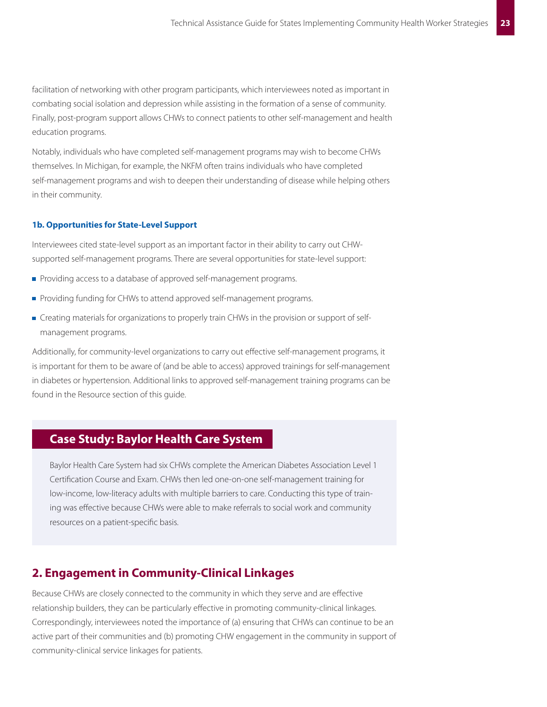facilitation of networking with other program participants, which interviewees noted as important in combating social isolation and depression while assisting in the formation of a sense of community. Finally, post-program support allows CHWs to connect patients to other self-management and health education programs.

Notably, individuals who have completed self-management programs may wish to become CHWs themselves. In Michigan, for example, the NKFM often trains individuals who have completed self-management programs and wish to deepen their understanding of disease while helping others in their community.

### **1b. Opportunities for State-Level Support**

Interviewees cited state-level support as an important factor in their ability to carry out CHWsupported self-management programs. There are several opportunities for state-level support:

- Providing access to a database of approved self-management programs.
- Providing funding for CHWs to attend approved self-management programs.
- **Creating materials for organizations to properly train CHWs in the provision or support of self**management programs.

Additionally, for community-level organizations to carry out effective self-management programs, it is important for them to be aware of (and be able to access) approved trainings for self-management in diabetes or hypertension. Additional links to approved self-management training programs can be found in the Resource section of this guide.

## **Case Study: Baylor Health Care System**

Baylor Health Care System had six CHWs complete the American Diabetes Association Level 1 Certification Course and Exam. CHWs then led one-on-one self-management training for low-income, low-literacy adults with multiple barriers to care. Conducting this type of training was effective because CHWs were able to make referrals to social work and community resources on a patient-specific basis.

## **2. Engagement in Community-Clinical Linkages**

Because CHWs are closely connected to the community in which they serve and are effective relationship builders, they can be particularly effective in promoting community-clinical linkages. Correspondingly, interviewees noted the importance of (a) ensuring that CHWs can continue to be an active part of their communities and (b) promoting CHW engagement in the community in support of community-clinical service linkages for patients.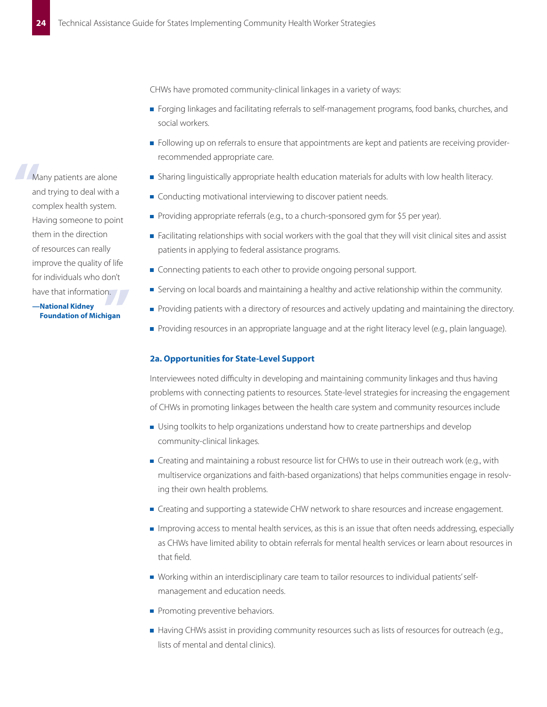CHWs have promoted community-clinical linkages in a variety of ways:

- **F** Forging linkages and facilitating referrals to self-management programs, food banks, churches, and social workers.
- Following up on referrals to ensure that appointments are kept and patients are receiving providerrecommended appropriate care.
- **Sharing linguistically appropriate health education materials for adults with low health literacy.**
- Conducting motivational interviewing to discover patient needs.
- Providing appropriate referrals (e.g., to a church-sponsored gym for \$5 per year).
- **Facilitating relationships with social workers with the goal that they will visit clinical sites and assist** patients in applying to federal assistance programs.
- Connecting patients to each other to provide ongoing personal support.
- **Serving on local boards and maintaining a healthy and active relationship within the community.**
- Providing patients with a directory of resources and actively updating and maintaining the directory.
- Providing resources in an appropriate language and at the right literacy level (e.g., plain language).

#### **2a. Opportunities for State-Level Support**

Interviewees noted difficulty in developing and maintaining community linkages and thus having problems with connecting patients to resources. State-level strategies for increasing the engagement of CHWs in promoting linkages between the health care system and community resources include

- **Journal Using toolkits to help organizations understand how to create partnerships and develop** community-clinical linkages.
- Creating and maintaining a robust resource list for CHWs to use in their outreach work (e.g., with multiservice organizations and faith-based organizations) that helps communities engage in resolving their own health problems.
- **Creating and supporting a statewide CHW network to share resources and increase engagement.**
- **I** Improving access to mental health services, as this is an issue that often needs addressing, especially as CHWs have limited ability to obtain referrals for mental health services or learn about resources in that field.
- W orking within an interdisciplinary care team to tailor resources to individual patients' selfmanagement and education needs.
- Promoting preventive behaviors.
- Having CHWs assist in providing community resources such as lists of resources for outreach (e.g., lists of mental and dental clinics).

Ma<br>
an<br>
CO Many patients are alone and trying to deal with a complex health system. Having someone to point them in the direction of resources can really improve the quality of life for individuals who don't have that information.

n.<br>Igan **—National Kidney Foundation of Michigan**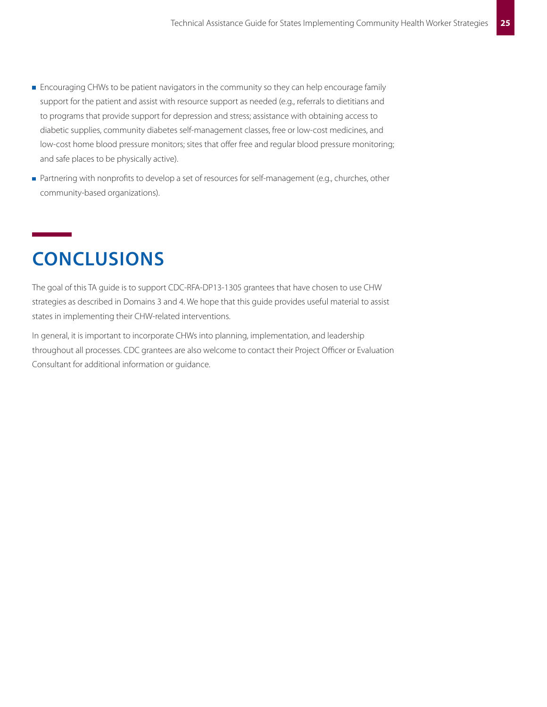- **Encouraging CHWs to be patient navigators in the community so they can help encourage family** support for the patient and assist with resource support as needed (e.g., referrals to dietitians and to programs that provide support for depression and stress; assistance with obtaining access to diabetic supplies, community diabetes self-management classes, free or low-cost medicines, and low-cost home blood pressure monitors; sites that offer free and regular blood pressure monitoring; and safe places to be physically active).
- **Partnering with nonprofits to develop a set of resources for self-management (e.g., churches, other** community-based organizations).

# **CONCLUSIONS**

The goal of this TA guide is to support CDC-RFA-DP13-1305 grantees that have chosen to use CHW strategies as described in Domains 3 and 4. We hope that this guide provides useful material to assist states in implementing their CHW-related interventions.

In general, it is important to incorporate CHWs into planning, implementation, and leadership throughout all processes. CDC grantees are also welcome to contact their Project Officer or Evaluation Consultant for additional information or guidance.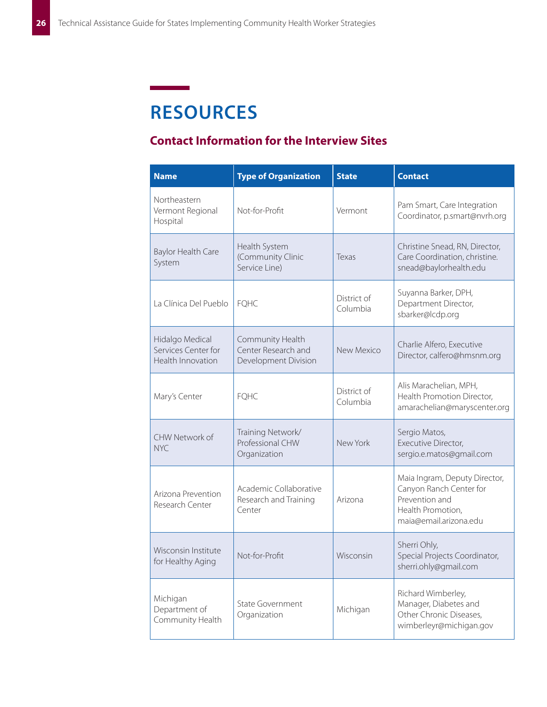# **RESOURCES**

# **Contact Information for the Interview Sites**

| <b>Name</b>                                                 | <b>Type of Organization</b>                                     | <b>State</b>            | <b>Contact</b>                                                                                                            |
|-------------------------------------------------------------|-----------------------------------------------------------------|-------------------------|---------------------------------------------------------------------------------------------------------------------------|
| Northeastern<br>Vermont Regional<br>Hospital                | Not-for-Profit                                                  | Vermont                 | Pam Smart, Care Integration<br>Coordinator, p.smart@nvrh.org                                                              |
| Baylor Health Care<br>System                                | Health System<br>(Community Clinic<br>Service Line)             | Texas                   | Christine Snead, RN, Director,<br>Care Coordination, christine.<br>snead@baylorhealth.edu                                 |
| La Clínica Del Pueblo                                       | <b>FQHC</b>                                                     | District of<br>Columbia | Suyanna Barker, DPH,<br>Department Director,<br>sbarker@lcdp.org                                                          |
| Hidalgo Medical<br>Services Center for<br>Health Innovation | Community Health<br>Center Research and<br>Development Division | New Mexico              | Charlie Alfero, Executive<br>Director, calfero@hmsnm.org                                                                  |
| Mary's Center                                               | <b>FQHC</b>                                                     | District of<br>Columbia | Alis Marachelian, MPH,<br>Health Promotion Director,<br>amarachelian@maryscenter.org                                      |
| CHW Network of<br>NYC.                                      | Training Network/<br>Professional CHW<br>Organization           | New York                | Sergio Matos,<br>Executive Director,<br>sergio.e.matos@gmail.com                                                          |
| Arizona Prevention<br>Research Center                       | Academic Collaborative<br>Research and Training<br>Center       | Arizona                 | Maia Ingram, Deputy Director,<br>Canyon Ranch Center for<br>Prevention and<br>Health Promotion,<br>maia@email.arizona.edu |
| Wisconsin Institute<br>for Healthy Aging                    | Not-for-Profit                                                  | Wisconsin               | Sherri Ohly,<br>Special Projects Coordinator,<br>sherri.ohly@gmail.com                                                    |
| Michigan<br>Department of<br>Community Health               | <b>State Government</b><br>Organization                         | Michigan                | Richard Wimberley,<br>Manager, Diabetes and<br>Other Chronic Diseases,<br>wimberleyr@michigan.gov                         |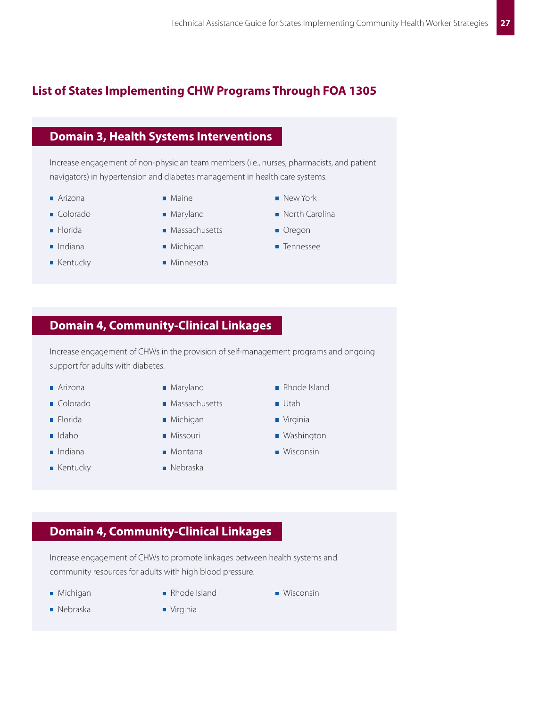# **List of States Implementing CHW Programs Through FOA 1305**

## **Domain 3, Health Systems Interventions**

Increase engagement of non-physician team members (i.e., nurses, pharmacists, and patient navigators) in hypertension and diabetes management in health care systems.

- Arizona
- Colorado
- Florida
- Indiana
- Kentucky
- Maine
- Maryland
- Massachusetts
- Michigan
- Minnesota
- New York North Carolina
- Oregon
- Tennessee

# **Domain 4, Community-Clinical Linkages**

Increase engagement of CHWs in the provision of self-management programs and ongoing support for adults with diabetes.

- Arizona
- Colorado
- Florida
- Idaho
- Indiana
- Kentucky
- Maryland
- Massachusetts
- Michigan
	- Missouri
- Montana
- Nebraska
- Rhode Island
- Utah
- Virginia
- Washington
- Wisconsin

# **Domain 4, Community-Clinical Linkages**

Increase engagement of CHWs to promote linkages between health systems and community resources for adults with high blood pressure.

- **Michigan**
- 
- Michigan **II** Rhode Island **III Wisconsin Nisconsin**
- Nebraska
- Virginia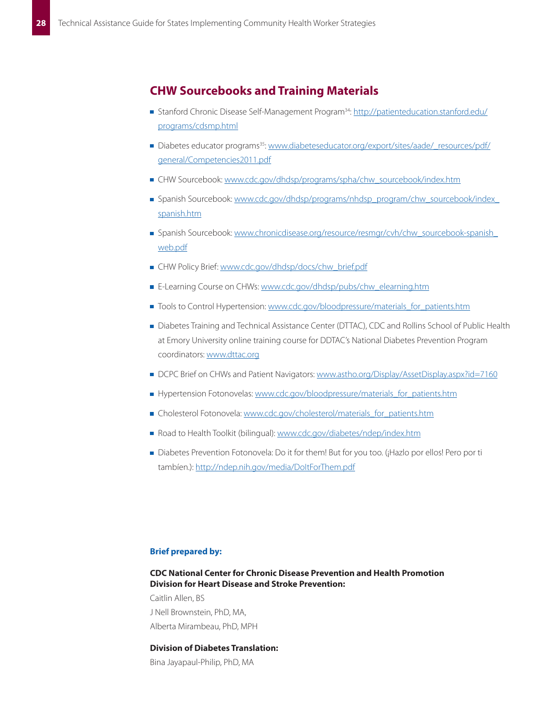## **CHW Sourcebooks and Training Materials**

- Stanford Chronic Disease Self-Management Program<sup>34</sup>: [http://patienteducation.stanford.edu/](http://patienteducation.stanford.edu/programs/cdsmp.html) [programs/cdsmp.html](http://patienteducation.stanford.edu/programs/cdsmp.html)
- Diabetes educator programs<sup>35</sup>: [www.diabeteseducator.org/export/sites/aade/\\_resources/pdf/](www.diabeteseducator.org/export/sites/aade/_resources/pdf/general/Competencies2011.pdf) [general/Competencies2011.pdf](www.diabeteseducator.org/export/sites/aade/_resources/pdf/general/Competencies2011.pdf)
- CHW Sourcebook: [www.cdc.gov/dhdsp/programs/spha/chw\\_sourcebook/index.htm](www.cdc.gov/dhdsp/programs/spha/chw_sourcebook/index.htm)
- **Spanish Sourcebook:** [www.cdc.gov/dhdsp/programs/nhdsp\\_program/chw\\_sourcebook/index\\_](www.cdc.gov/dhdsp/programs/nhdsp_program/chw_sourcebook/index_spanish.htm) [spanish.htm](www.cdc.gov/dhdsp/programs/nhdsp_program/chw_sourcebook/index_spanish.htm)
- Spanish Sourcebook: [www.chronicdisease.org/resource/resmgr/cvh/chw\\_sourcebook-spanish\\_](www.chronicdisease.org/resource/resmgr/cvh/chw_sourcebook-spanish_web.pdf) [web.pdf](www.chronicdisease.org/resource/resmgr/cvh/chw_sourcebook-spanish_web.pdf)
- CHW Policy Brief: [www.cdc.gov/dhdsp/docs/chw\\_brief.pdf](www.cdc.gov/dhdsp/docs/chw_brief.pdf)
- E-Learning Course on CHWs: [www.cdc.gov/dhdsp/pubs/chw\\_elearning.htm](www.cdc.gov/dhdsp/pubs/chw_elearning.htm)
- Tools to Control Hypertension: [www.cdc.gov/bloodpressure/materials\\_for\\_patients.htm](www.cdc.gov/bloodpressure/materials_for_patients.htm)
- Diabetes Training and Technical Assistance Center (DTTAC), CDC and Rollins School of Public Health at Emory University online training course for DDTAC's National Diabetes Prevention Program coordinators: <www.dttac.org>
- DCPC Brief on CHWs and Patient Navigators: <www.astho.org/Display/AssetDisplay.aspx?id=7160>
- Hypertension Fotonovelas: [www.cdc.gov/bloodpressure/materials\\_for\\_patients.htm](www.cdc.gov/bloodpressure/materials_for_patients.htm)
- Cholesterol Fotonovela: [www.cdc.gov/cholesterol/materials\\_for\\_patients.htm](www.cdc.gov/cholesterol/materials_for_patients.htm)
- Road to Health Toolkit (bilingual): <www.cdc.gov/diabetes/ndep/index.htm>
- Diabetes Prevention Fotonovela: Do it for them! But for you too. (¡Hazlo por ellos! Pero por ti tambíen.): <http://ndep.nih.gov/media/DoItForThem.pdf>

#### **Brief prepared by:**

### **CDC National Center for Chronic Disease Prevention and Health Promotion Division for Heart Disease and Stroke Prevention:**

Caitlin Allen, BS J Nell Brownstein, PhD, MA, Alberta Mirambeau, PhD, MPH

#### **Division of Diabetes Translation:**

Bina Jayapaul-Philip, PhD, MA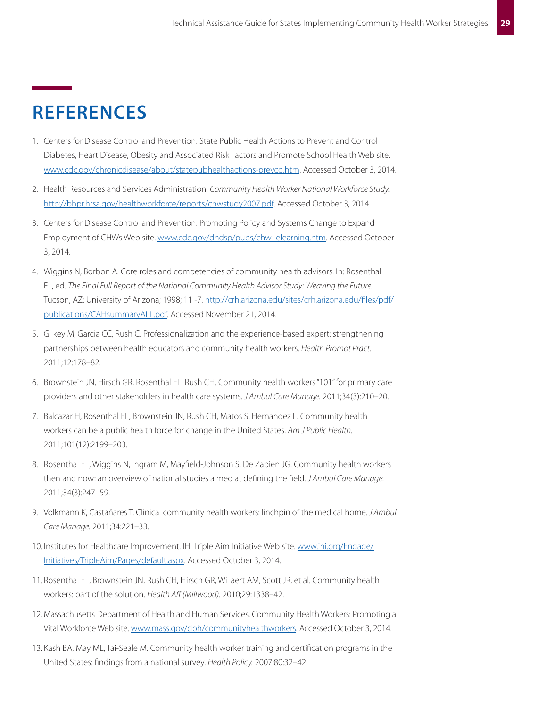# **REFERENCES**

- 1. Centers for Disease Control and Prevention. State Public Health Actions to Prevent and Control Diabetes, Heart Disease, Obesity and Associated Risk Factors and Promote School Health Web site. [www.cdc.gov/chronicdisease/about/statepubhealthactions-prevcd.htm](http://www.cdc.gov/chronicdisease/about/statepubhealthactions-prevcd.htm). Accessed October 3, 2014.
- 2. Health Resources and Services Administration. *Community Health Worker National Workforce Study.* <http://bhpr.hrsa.gov/healthworkforce/reports/chwstudy2007.pdf>. Accessed October 3, 2014.
- 3. Centers for Disease Control and Prevention. Promoting Policy and Systems Change to Expand Employment of CHWs Web site. [www.cdc.gov/dhdsp/pubs/chw\\_elearning.htm.](http://www.cdc.gov/dhdsp/pubs/chw_elearning.htm) Accessed October 3, 2014.
- 4. Wiggins N, Borbon A. Core roles and competencies of community health advisors. In: Rosenthal EL, ed. *The Final Full Report of the National Community Health Advisor Study: Weaving the Future.* Tucson, AZ: University of Arizona; 1998; 11 -7. [http://crh.arizona.edu/sites/crh.arizona.edu/files/pdf/](http://crh.arizona.edu/sites/crh.arizona.edu/files/pdf/publications/CAHsummaryALL.pdf) [publications/CAHsummaryALL.pdf.](http://crh.arizona.edu/sites/crh.arizona.edu/files/pdf/publications/CAHsummaryALL.pdf) Accessed November 21, 2014.
- 5. Gilkey M, Garcia CC, Rush C. Professionalization and the experience-based expert: strengthening partnerships between health educators and community health workers. *Health Promot Pract.* 2011;12:178–82.
- 6. Brownstein JN, Hirsch GR, Rosenthal EL, Rush CH. Community health workers "101" for primary care providers and other stakeholders in health care systems. *J Ambul Care Manage.* 2011;34(3):210–20.
- 7. Balcazar H, Rosenthal EL, Brownstein JN, Rush CH, Matos S, Hernandez L. Community health workers can be a public health force for change in the United States. *Am J Public Health.* 2011;101(12):2199–203.
- 8. Rosenthal EL, Wiggins N, Ingram M, Mayfield-Johnson S, De Zapien JG. Community health workers then and now: an overview of national studies aimed at defining the field. *J Ambul Care Manage.* 2011;34(3):247–59.
- 9. Volkmann K, Castañares T. Clinical community health workers: linchpin of the medical home. *J Ambul Care Manage.* 2011;34:221–33.
- 10. Institutes for Healthcare Improvement. IHI Triple Aim Initiative Web site. [www.ihi.org/Engage/](http://www.ihi.org/Engage/Initiatives/TripleAim/Pages/default.aspx) [Initiatives/TripleAim/Pages/default.aspx](http://www.ihi.org/Engage/Initiatives/TripleAim/Pages/default.aspx). Accessed October 3, 2014.
- 11. Rosenthal EL, Brownstein JN, Rush CH, Hirsch GR, Willaert AM, Scott JR, et al. Community health workers: part of the solution. *Health Aff (Millwood).* 2010;29:1338–42.
- 12. Massachusetts Department of Health and Human Services. Community Health Workers: Promoting a Vital Workforce Web site. [www.mass.gov/dph/communityhealthworkers](http://www.mass.gov/dph/communityhealthworkers). Accessed October 3, 2014.
- 13. Kash BA, May ML, Tai-Seale M. Community health worker training and certification programs in the United States: findings from a national survey. *Health Policy.* 2007;80:32–42.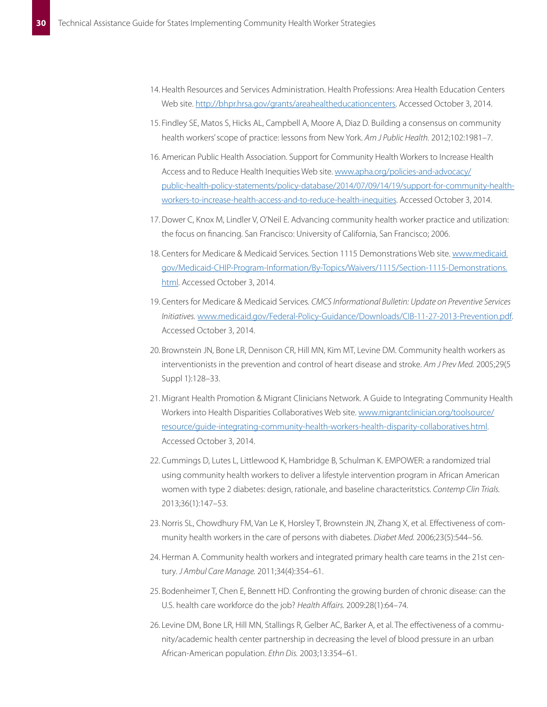- 14. Health Resources and Services Administration. Health Professions: Area Health Education Centers Web site. [http://bhpr.hrsa.gov/grants/areahealtheducationcenters.](http://bhpr.hrsa.gov/grants/areahealtheducationcenters) Accessed October 3, 2014.
- 15. Findley SE, Matos S, Hicks AL, Campbell A, Moore A, Diaz D. Building a consensus on community health workers' scope of practice: lessons from New York. Am J Public Health. 2012;102:1981-7.
- 16. American Public Health Association. Support for Community Health Workers to Increase Health Access and to Reduce Health Inequities Web site. [www.apha.org/policies-and-advocacy/](http://www.apha.org/policies-and-advocacy/public-health-policy-statements/policy-database/2014/07/09/14/19/support-for-community-health-workers-to-increase-health-access-and-to-reduce-health-inequities) [public-health-policy-statements/policy-database/2014/07/09/14/19/support-for-community-health](http://www.apha.org/policies-and-advocacy/public-health-policy-statements/policy-database/2014/07/09/14/19/support-for-community-health-workers-to-increase-health-access-and-to-reduce-health-inequities)[workers-to-increase-health-access-and-to-reduce-health-inequities.](http://www.apha.org/policies-and-advocacy/public-health-policy-statements/policy-database/2014/07/09/14/19/support-for-community-health-workers-to-increase-health-access-and-to-reduce-health-inequities) Accessed October 3, 2014.
- 17. Dower C, Knox M, Lindler V, O'Neil E. Advancing community health worker practice and utilization: the focus on financing. San Francisco: University of California, San Francisco; 2006.
- 18. Centers for Medicare & Medicaid Services. Section 1115 Demonstrations Web site. [www.medicaid.](http://www.medicaid.gov/Medicaid-CHIP-Program-Information/By-Topics/Waivers/1115/Section-1115-Demonstrations.html) [gov/Medicaid-CHIP-Program-Information/By-Topics/Waivers/1115/Section-1115-Demonstrations.](http://www.medicaid.gov/Medicaid-CHIP-Program-Information/By-Topics/Waivers/1115/Section-1115-Demonstrations.html) [html.](http://www.medicaid.gov/Medicaid-CHIP-Program-Information/By-Topics/Waivers/1115/Section-1115-Demonstrations.html) Accessed October 3, 2014.
- 19. Centers for Medicare & Medicaid Services. CMCS Informational Bulletin: Update on Preventive Services Initiatives. [www.medicaid.gov/Federal-Policy-Guidance/Downloads/CIB-11-27-2013-Prevention.pdf.](http://www.medicaid.gov/Federal-Policy-Guidance/Downloads/CIB-11-27-2013-Prevention.pdf) Accessed October 3, 2014.
- 20. Brownstein JN, Bone LR, Dennison CR, Hill MN, Kim MT, Levine DM. Community health workers as interventionists in the prevention and control of heart disease and stroke. Am J Prev Med. 2005;29(5 Suppl 1):128-33.
- 21. Migrant Health Promotion & Migrant Clinicians Network. A Guide to Integrating Community Health Workers into Health Disparities Collaboratives Web site. [www.migrantclinician.org/toolsource/](http://www.migrantclinician.org/toolsource/resource/guide-integrating-community-health-workers-health-disparity-collaboratives.html) [resource/guide-integrating-community-health-workers-health-disparity-collaboratives.html.](http://www.migrantclinician.org/toolsource/resource/guide-integrating-community-health-workers-health-disparity-collaboratives.html) Accessed October 3, 2014.
- 22. Cummings D, Lutes L, Littlewood K, Hambridge B, Schulman K. EMPOWER: a randomized trial using community health workers to deliver a lifestyle intervention program in African American women with type 2 diabetes: design, rationale, and baseline characteritstics. Contemp Clin Trials. 2013;36(1):147-53.
- 23. Norris SL, Chowdhury FM, Van Le K, Horsley T, Brownstein JN, Zhang X, et al. Effectiveness of community health workers in the care of persons with diabetes. *Diabet Med.* 2006;23(5):544–56.
- 24. Herman A. Community health workers and integrated primary health care teams in the 21st century. *J Ambul Care Manage.* 2011;34(4):354–61.
- 25. Bodenheimer T, Chen E, Bennett HD. Confronting the growing burden of chronic disease: can the U.S. health care workforce do the job? Health Affairs. 2009:28(1):64-74.
- 26. Levine DM, Bone LR, Hill MN, Stallings R, Gelber AC, Barker A, et al. The effectiveness of a community/academic health center partnership in decreasing the level of blood pressure in an urban African-American population. *Ethn Dis.* 2003;13:354–61.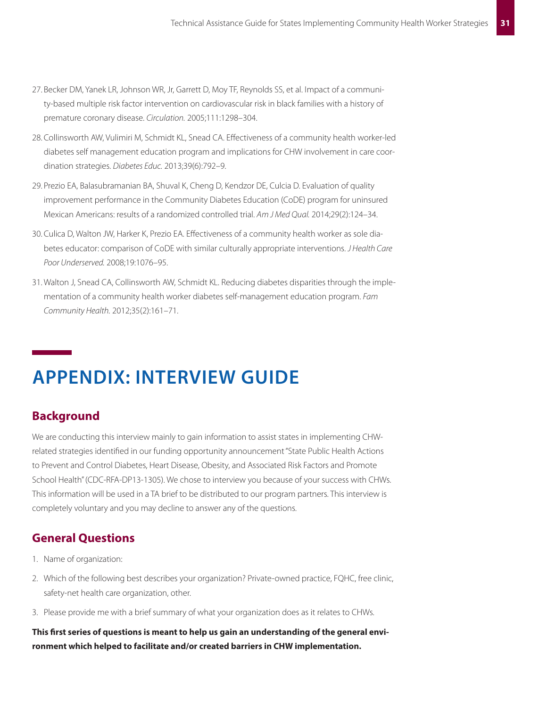- 27. Becker DM, Yanek LR, Johnson WR, Jr, Garrett D, Moy TF, Reynolds SS, et al. Impact of a community-based multiple risk factor intervention on cardiovascular risk in black families with a history of premature coronary disease. *Circulation.* 2005;111:1298–304.
- 28. Collinsworth AW, Vulimiri M, Schmidt KL, Snead CA. Effectiveness of a community health worker-led diabetes self management education program and implications for CHW involvement in care coordination strategies. *Diabetes Educ.* 2013;39(6):792–9.
- 29. Prezio EA, Balasubramanian BA, Shuval K, Cheng D, Kendzor DE, Culcia D. Evaluation of quality improvement performance in the Community Diabetes Education (CoDE) program for uninsured Mexican Americans: results of a randomized controlled trial. *Am J Med Qual.* 2014;29(2):124–34.
- 30. Culica D, Walton JW, Harker K, Prezio EA. Effectiveness of a community health worker as sole diabetes educator: comparison of CoDE with similar culturally appropriate interventions. *J Health Care Poor Underserved.* 2008;19:1076–95.
- 31. Walton J, Snead CA, Collinsworth AW, Schmidt KL. Reducing diabetes disparities through the implementation of a community health worker diabetes self-management education program. *Fam Community Health.* 2012;35(2):161–71.

# **APPENDIX: INTERVIEW GUIDE**

# **Background**

We are conducting this interview mainly to gain information to assist states in implementing CHWrelated strategies identified in our funding opportunity announcement "State Public Health Actions to Prevent and Control Diabetes, Heart Disease, Obesity, and Associated Risk Factors and Promote School Health" (CDC-RFA-DP13-1305). We chose to interview you because of your success with CHWs. This information will be used in a TA brief to be distributed to our program partners. This interview is completely voluntary and you may decline to answer any of the questions.

# **General Questions**

- 1. Name of organization:
- 2. Which of the following best describes your organization? Private-owned practice, FQHC, free clinic, safety-net health care organization, other.
- 3. Please provide me with a brief summary of what your organization does as it relates to CHWs.

**This first series of questions is meant to help us gain an understanding of the general environment which helped to facilitate and/or created barriers in CHW implementation.**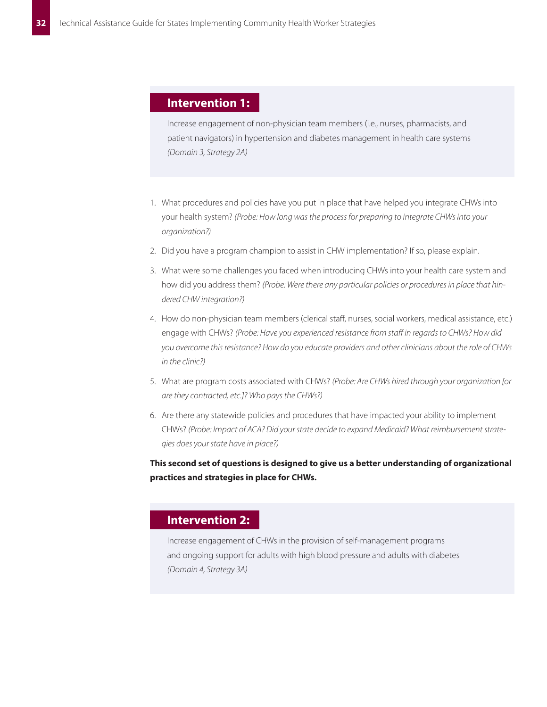## **Intervention 1:**

Increase engagement of non-physician team members (i.e., nurses, pharmacists, and patient navigators) in hypertension and diabetes management in health care systems *(Domain 3, Strategy 2A)*

- 1. What procedures and policies have you put in place that have helped you integrate CHWs into your health system? *(Probe: How long was the process for preparing to integrate CHWs into your organization?)*
- 2. Did you have a program champion to assist in CHW implementation? If so, please explain.
- 3. What were some challenges you faced when introducing CHWs into your health care system and how did you address them? *(Probe: Were there any particular policies or procedures in place that hindered CHW integration?)*
- 4. How do non-physician team members (clerical staff, nurses, social workers, medical assistance, etc.) engage with CHWs? *(Probe: Have you experienced resistance from staff in regards to CHWs? How did you overcome this resistance? How do you educate providers and other clinicians about the role of CHWs in the clinic?)*
- 5. What are program costs associated with CHWs? *(Probe: Are CHWs hired through your organization [or are they contracted, etc.]? Who pays the CHWs?)*
- 6. Are there any statewide policies and procedures that have impacted your ability to implement CHWs? *(Probe: Impact of ACA? Did your state decide to expand Medicaid? What reimbursement strategies does your state have in place?)*

**This second set of questions is designed to give us a better understanding of organizational practices and strategies in place for CHWs�**

## **Intervention 2:**

Increase engagement of CHWs in the provision of self-management programs and ongoing support for adults with high blood pressure and adults with diabetes *(Domain 4, Strategy 3A)*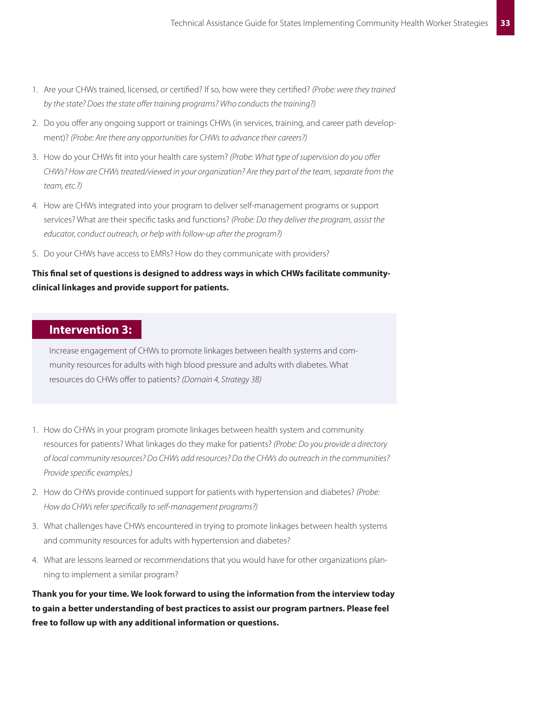- 1. Are your CHWs trained, licensed, or certified? If so, how were they certified? *(Probe: were they trained by the state? Does the state offer training programs? Who conducts the training?)*
- 2. Do you offer any ongoing support or trainings CHWs (in services, training, and career path development)? *(Probe: Are there any opportunities for CHWs to advance their careers?)*
- 3. How do your CHWs fit into your health care system? *(Probe: What type of supervision do you offer CHWs? How are CHWs treated/viewed in your organization? Are they part of the team, separate from the team, etc.?)*
- 4. How are CHWs integrated into your program to deliver self-management programs or support services? What are their specific tasks and functions? *(Probe: Do they deliver the program, assist the educator, conduct outreach, or help with follow-up after the program?)*
- 5. Do your CHWs have access to EMRs? How do they communicate with providers?

## **This final set of questions is designed to address ways in which CHWs facilitate communityclinical linkages and provide support for patients.**

## **Intervention 3:**

Increase engagement of CHWs to promote linkages between health systems and community resources for adults with high blood pressure and adults with diabetes. What resources do CHWs offer to patients? *(Domain 4, Strategy 3B)*

- 1. How do CHWs in your program promote linkages between health system and community resources for patients? What linkages do they make for patients? *(Probe: Do you provide a directory of local community resources? Do CHWs add resources? Do the CHWs do outreach in the communities? Provide specific examples.)*
- 2. How do CHWs provide continued support for patients with hypertension and diabetes? *(Probe: How do CHWs refer specifically to self-management programs?)*
- 3. What challenges have CHWs encountered in trying to promote linkages between health systems and community resources for adults with hypertension and diabetes?
- 4. What are lessons learned or recommendations that you would have for other organizations planning to implement a similar program?

**Thank you for your time. We look forward to using the information from the interview today to gain a better understanding of best practices to assist our program partners. Please feel free to follow up with any additional information or questions.**